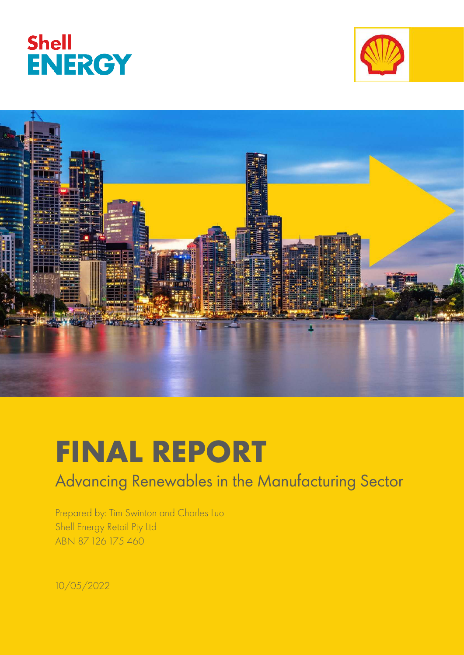





# **FINAL REPORT**

## Advancing Renewables in the Manufacturing Sector

Prepared by: Tim Swinton and Charles Luo Shell Energy Retail Pty Ltd ABN 87 126 175 460

10/05/2022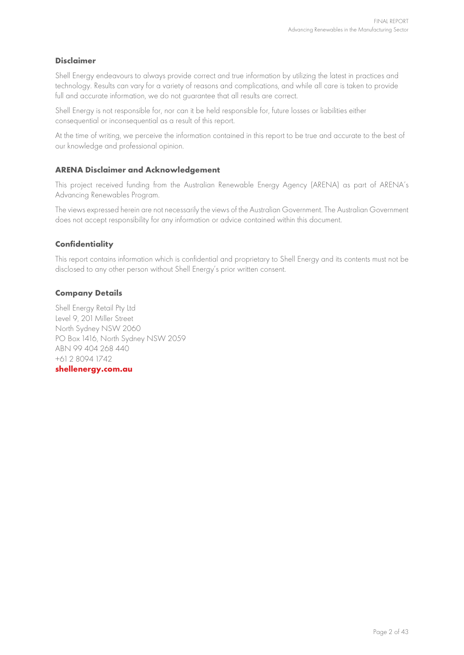#### **Disclaimer**

Shell Energy endeavours to always provide correct and true information by utilizing the latest in practices and technology. Results can vary for a variety of reasons and complications, and while all care is taken to provide full and accurate information, we do not guarantee that all results are correct.

Shell Energy is not responsible for, nor can it be held responsible for, future losses or liabilities either consequential or inconsequential as a result of this report.

At the time of writing, we perceive the information contained in this report to be true and accurate to the best of our knowledge and professional opinion.

#### **ARENA Disclaimer and Acknowledgement**

This project received funding from the Australian Renewable Energy Agency (ARENA) as part of ARENA's Advancing Renewables Program.

The views expressed herein are not necessarily the views of the Australian Government. The Australian Government does not accept responsibility for any information or advice contained within this document.

#### **Confidentiality**

This report contains information which is confidential and proprietary to Shell Energy and its contents must not be disclosed to any other person without Shell Energy's prior written consent.

#### **Company Details**

Shell Energy Retail Pty Ltd Level 9, 201 Miller Street North Sydney NSW 2060 PO Box 1416, North Sydney NSW 2059 ABN 99 404 268 440 +61 2 8094 1742

#### **[shellenergy.com.au](http://www.shellenergy.com.au/)**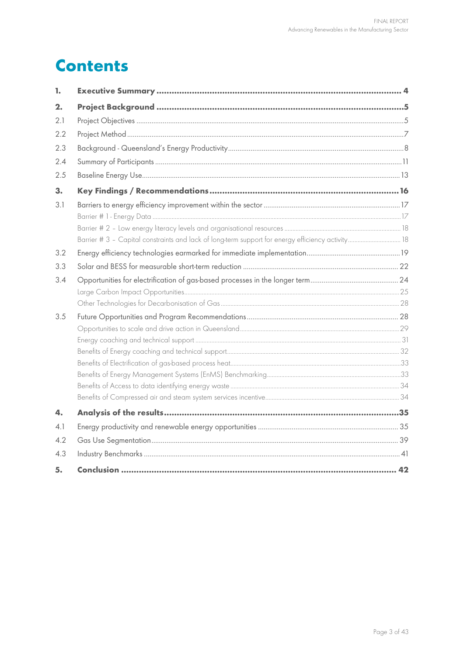## **Contents**

| 1.  |                                                                                                   |  |
|-----|---------------------------------------------------------------------------------------------------|--|
| 2.  |                                                                                                   |  |
| 2.1 |                                                                                                   |  |
| 2.2 |                                                                                                   |  |
| 2.3 |                                                                                                   |  |
| 2.4 |                                                                                                   |  |
| 2.5 |                                                                                                   |  |
| 3.  |                                                                                                   |  |
| 3.1 |                                                                                                   |  |
|     |                                                                                                   |  |
|     |                                                                                                   |  |
|     | Barrier # 3 - Capital constraints and lack of long-term support for energy efficiency activity 18 |  |
| 3.2 |                                                                                                   |  |
| 3.3 |                                                                                                   |  |
| 3.4 |                                                                                                   |  |
|     |                                                                                                   |  |
|     |                                                                                                   |  |
| 3.5 |                                                                                                   |  |
|     |                                                                                                   |  |
|     |                                                                                                   |  |
|     |                                                                                                   |  |
|     |                                                                                                   |  |
|     |                                                                                                   |  |
|     |                                                                                                   |  |
|     |                                                                                                   |  |
| 4.  |                                                                                                   |  |
| 4.1 |                                                                                                   |  |
| 4.2 |                                                                                                   |  |
| 4.3 |                                                                                                   |  |
| 5.  |                                                                                                   |  |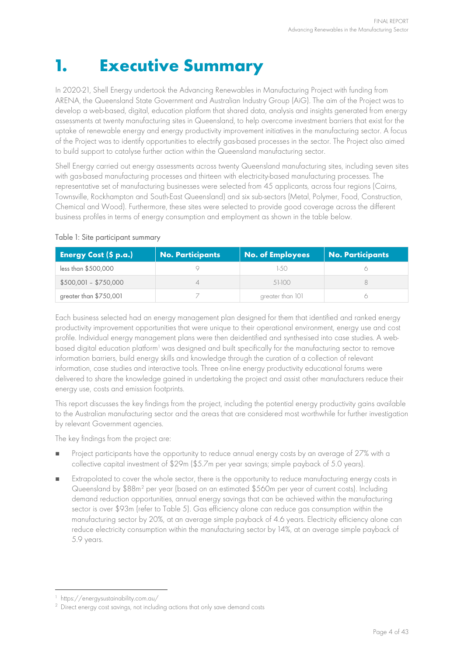## **1. Executive Summary**

In 2020-21, Shell Energy undertook the Advancing Renewables in Manufacturing Project with funding from ARENA, the Queensland State Government and Australian Industry Group (AiG). The aim of the Project was to develop a web-based, digital, education platform that shared data, analysis and insights generated from energy assessments at twenty manufacturing sites in Queensland, to help overcome investment barriers that exist for the uptake of renewable energy and energy productivity improvement initiatives in the manufacturing sector. A focus of the Project was to identify opportunities to electrify gas-based processes in the sector. The Project also aimed to build support to catalyse further action within the Queensland manufacturing sector.

Shell Energy carried out energy assessments across twenty Queensland manufacturing sites, including seven sites with gas-based manufacturing processes and thirteen with electricity-based manufacturing processes. The representative set of manufacturing businesses were selected from 45 applicants, across four regions (Cairns, Townsville, Rockhampton and South-East Queensland) and six sub-sectors (Metal, Polymer, Food, Construction, Chemical and Wood). Furthermore, these sites were selected to provide good coverage across the different business profiles in terms of energy consumption and employment as shown in the table below.

| <b>Energy Cost (\$ p.a.)</b> | <b>No. Participants</b> | No. of Employees | <b>No. Participants</b> |
|------------------------------|-------------------------|------------------|-------------------------|
| less than \$500,000          |                         | $-5()$           |                         |
| $$500,001 - $750,000$        |                         | 51-100           |                         |
| greater than \$750,001       |                         | greater than 101 |                         |

#### Table 1: Site participant summary

Each business selected had an energy management plan designed for them that identified and ranked energy productivity improvement opportunities that were unique to their operational environment, energy use and cost profile. Individual energy management plans were then deidentified and synthesised into case studies. A web-based digital education platform<sup>[1](#page-3-0)</sup> was designed and built specifically for the manufacturing sector to remove information barriers, build energy skills and knowledge through the curation of a collection of relevant information, case studies and interactive tools. Three on-line energy productivity educational forums were delivered to share the knowledge gained in undertaking the project and assist other manufacturers reduce their energy use, costs and emission footprints.

This report discusses the key findings from the project, including the potential energy productivity gains available to the Australian manufacturing sector and the areas that are considered most worthwhile for further investigation by relevant Government agencies.

The key findings from the project are:

- Project participants have the opportunity to reduce annual energy costs by an average of 27% with a collective capital investment of \$29m (\$5.7m per year savings; simple payback of 5.0 years).
- Extrapolated to cover the whole sector, there is the opportunity to reduce manufacturing energy costs in Queensland by \$88m<sup>[2](#page-3-1)</sup> per year (based on an estimated \$560m per year of current costs). Including demand reduction opportunities, annual energy savings that can be achieved within the manufacturing sector is over \$93m (refer to [Table 5\)](#page-20-0). Gas efficiency alone can reduce gas consumption within the manufacturing sector by 20%, at an average simple payback of 4.6 years. Electricity efficiency alone can reduce electricity consumption within the manufacturing sector by 14%, at an average simple payback of 5.9 years.

<sup>1</sup> <https://energysustainability.com.au/>

<span id="page-3-1"></span><span id="page-3-0"></span><sup>&</sup>lt;sup>2</sup> Direct energy cost savings, not including actions that only save demand costs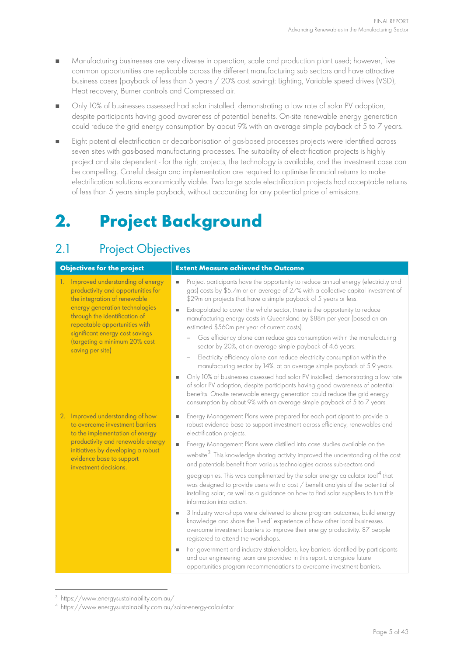- Manufacturing businesses are very diverse in operation, scale and production plant used; however, five common opportunities are replicable across the different manufacturing sub sectors and have attractive business cases (payback of less than 5 years / 20% cost saving): Lighting, Variable speed drives (VSD), Heat recovery, Burner controls and Compressed air.
- Only 10% of businesses assessed had solar installed, demonstrating a low rate of solar PV adoption, despite participants having good awareness of potential benefits. On-site renewable energy generation could reduce the grid energy consumption by about 9% with an average simple payback of 5 to 7 years.
- Eight potential electrification or decarbonisation of gas-based processes projects were identified across seven sites with gas-based manufacturing processes. The suitability of electrification projects is highly project and site dependent - for the right projects, the technology is available, and the investment case can be compelling. Careful design and implementation are required to optimise financial returns to make electrification solutions economically viable. Two large scale electrification projects had acceptable returns of less than 5 years simple payback, without accounting for any potential price of emissions.

## **2. Project Background**

## 2.1 Project Objectives

| <b>Objectives for the project</b>                                                                                                                                                                                                                                                                        | <b>Extent Measure achieved the Outcome</b>                                                                                                                                                                                                                                                                                                                                                                                                                                                                                                                                                                                                                                                                                                                                                                                                                                                                                                                                                                                                                                                                                                                                                                                                                                                    |
|----------------------------------------------------------------------------------------------------------------------------------------------------------------------------------------------------------------------------------------------------------------------------------------------------------|-----------------------------------------------------------------------------------------------------------------------------------------------------------------------------------------------------------------------------------------------------------------------------------------------------------------------------------------------------------------------------------------------------------------------------------------------------------------------------------------------------------------------------------------------------------------------------------------------------------------------------------------------------------------------------------------------------------------------------------------------------------------------------------------------------------------------------------------------------------------------------------------------------------------------------------------------------------------------------------------------------------------------------------------------------------------------------------------------------------------------------------------------------------------------------------------------------------------------------------------------------------------------------------------------|
| Improved understanding of energy<br>1.<br>productivity and opportunities for<br>the integration of renewable<br>energy generation technologies<br>through the identification of<br>repeatable opportunities with<br>significant energy cost savings<br>(targeting a minimum 20% cost<br>saving per site) | Project participants have the opportunity to reduce annual energy (electricity and<br>gas) costs by \$5.7m or an average of 27% with a collective capital investment of<br>\$29m on projects that have a simple payback of 5 years or less.<br>Extrapolated to cover the whole sector, there is the opportunity to reduce<br>manufacturing energy costs in Queensland by \$88m per year (based on an<br>estimated \$560m per year of current costs).<br>Gas efficiency alone can reduce gas consumption within the manufacturing<br>sector by 20%, at an average simple payback of 4.6 years.<br>Electricity efficiency alone can reduce electricity consumption within the<br>manufacturing sector by 14%, at an average simple payback of 5.9 years.<br>Only 10% of businesses assessed had solar PV installed, demonstrating a low rate<br>of solar PV adoption, despite participants having good awareness of potential<br>benefits. On-site renewable energy generation could reduce the grid energy<br>consumption by about 9% with an average simple payback of 5 to 7 years.                                                                                                                                                                                                          |
| 2. Improved understanding of how<br>to overcome investment barriers<br>to the implementation of energy<br>productivity and renewable energy<br>initiatives by developing a robust<br>evidence base to support<br>investment decisions.                                                                   | Energy Management Plans were prepared for each participant to provide a<br>robust evidence base to support investment across efficiency, renewables and<br>electrification projects.<br>Energy Management Plans were distilled into case studies available on the<br>$\blacksquare$<br>website <sup>3</sup> . This knowledge sharing activity improved the understanding of the cost<br>and potentials benefit from various technologies across sub-sectors and<br>geographies. This was complimented by the solar energy calculator tool <sup>4</sup> that<br>was designed to provide users with a cost / benefit analysis of the potential of<br>installing solar, as well as a guidance on how to find solar suppliers to turn this<br>information into action.<br>3 Industry workshops were delivered to share program outcomes, build energy<br>knowledge and share the 'lived' experience of how other local businesses<br>overcome investment barriers to improve their energy productivity. 87 people<br>registered to attend the workshops.<br>For government and industry stakeholders, key barriers identified by participants<br>and our engineering team are provided in this report, alongside future<br>opportunities program recommendations to overcome investment barriers. |

<span id="page-4-0"></span><sup>3</sup> <https://www.energysustainability.com.au/>

<span id="page-4-1"></span><sup>4</sup> <https://www.energysustainability.com.au/solar-energy-calculator>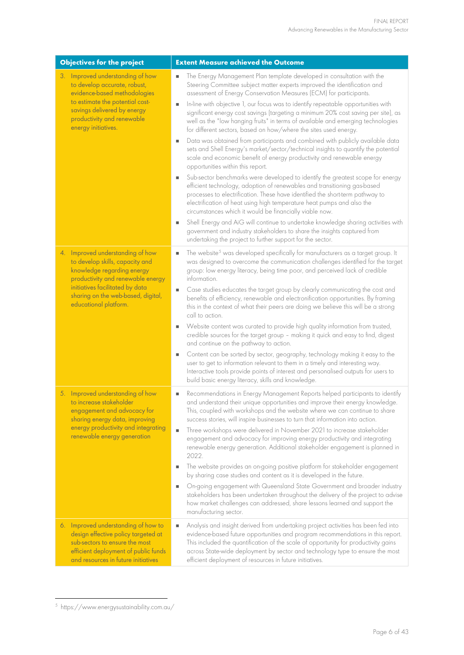| <b>Objectives for the project</b>                                                                                                                                                                                                        | <b>Extent Measure achieved the Outcome</b>                                                                                                                                                                                                                                                                                                                                                                                                                                                                                                                                                                                                                                                                                                                                                                                                                                                                                                                                                                                                                                                                                                                                                                                                                                                                                                                                                                                                                                      |
|------------------------------------------------------------------------------------------------------------------------------------------------------------------------------------------------------------------------------------------|---------------------------------------------------------------------------------------------------------------------------------------------------------------------------------------------------------------------------------------------------------------------------------------------------------------------------------------------------------------------------------------------------------------------------------------------------------------------------------------------------------------------------------------------------------------------------------------------------------------------------------------------------------------------------------------------------------------------------------------------------------------------------------------------------------------------------------------------------------------------------------------------------------------------------------------------------------------------------------------------------------------------------------------------------------------------------------------------------------------------------------------------------------------------------------------------------------------------------------------------------------------------------------------------------------------------------------------------------------------------------------------------------------------------------------------------------------------------------------|
| 3. Improved understanding of how<br>to develop accurate, robust,<br>evidence-based methodologies<br>to estimate the potential cost-<br>savings delivered by energy<br>productivity and renewable<br>energy initiatives.                  | The Energy Management Plan template developed in consultation with the<br>Steering Committee subject matter experts improved the identification and<br>assessment of Energy Conservation Measures (ECM) for participants.<br>In-line with objective 1, our focus was to identify repeatable opportunities with<br>significant energy cost savings (targeting a minimum 20% cost saving per site), as<br>well as the "low hanging fruits" in terms of available and emerging technologies<br>for different sectors, based on how/where the sites used energy.<br>Data was obtained from participants and combined with publicly available data<br>٠<br>sets and Shell Energy's market/sector/technical insights to quantify the potential<br>scale and economic benefit of energy productivity and renewable energy<br>opportunities within this report.<br>Sub-sector benchmarks were developed to identify the greatest scope for energy<br>efficient technology, adoption of renewables and transitioning gas-based<br>processes to electrification. These have identified the short-term pathway to<br>electrification of heat using high temperature heat pumps and also the<br>circumstances which it would be financially viable now.<br>Shell Energy and AiG will continue to undertake knowledge sharing activities with<br>٠<br>government and industry stakeholders to share the insights captured from<br>undertaking the project to further support for the sector. |
| 4. Improved understanding of how<br>to develop skills, capacity and<br>knowledge regarding energy<br>productivity and renewable energy<br>initiatives facilitated by data<br>sharing on the web-based, digital,<br>educational platform. | The website <sup>5</sup> was developed specifically for manufacturers as a target group. It<br>was designed to overcome the communication challenges identified for the target<br>group: low energy literacy, being time poor, and perceived lack of credible<br>information.<br>Case studies educates the target group by clearly communicating the cost and<br>benefits of efficiency, renewable and electronification opportunities. By framing<br>this in the context of what their peers are doing we believe this will be a strong<br>call to action.<br>Website content was curated to provide high quality information from trusted,<br>credible sources for the target group - making it quick and easy to find, digest<br>and continue on the pathway to action.<br>Content can be sorted by sector, geography, technology making it easy to the<br>user to get to information relevant to them in a timely and interesting way.<br>Interactive tools provide points of interest and personalised outputs for users to<br>build basic energy literacy, skills and knowledge.                                                                                                                                                                                                                                                                                                                                                                                          |
| 5. Improved understanding of how<br>to increase stakeholder<br>engagement and advocacy for<br>sharing energy data, improving<br>energy productivity and integrating<br>renewable energy generation                                       | Recommendations in Energy Management Reports helped participants to identify<br>and understand their unique opportunities and improve their energy knowledge.<br>This, coupled with workshops and the website where we can continue to share<br>success stories, will inspire businesses to turn that information into action.<br>Three workshops were delivered in November 2021 to increase stakeholder<br>$\blacksquare$<br>engagement and advocacy for improving energy productivity and integrating<br>renewable energy generation. Additional stakeholder engagement is planned in<br>2022.<br>The website provides an on-going positive platform for stakeholder engagement<br>by sharing case studies and content as it is developed in the future.<br>On-going engagement with Queensland State Government and broader industry<br>٠<br>stakeholders has been undertaken throughout the delivery of the project to advise<br>how market challenges can addressed, share lessons learned and support the<br>manufacturing sector.                                                                                                                                                                                                                                                                                                                                                                                                                                       |
| 6. Improved understanding of how to<br>design effective policy targeted at<br>sub-sectors to ensure the most<br>efficient deployment of public funds<br>and resources in future initiatives                                              | Analysis and insight derived from undertaking project activities has been fed into<br>٠<br>evidence-based future opportunities and program recommendations in this report.<br>This included the quantification of the scale of opportunity for productivity gains<br>across State-wide deployment by sector and technology type to ensure the most<br>efficient deployment of resources in future initiatives.                                                                                                                                                                                                                                                                                                                                                                                                                                                                                                                                                                                                                                                                                                                                                                                                                                                                                                                                                                                                                                                                  |

<span id="page-5-0"></span><sup>5</sup> <https://www.energysustainability.com.au/>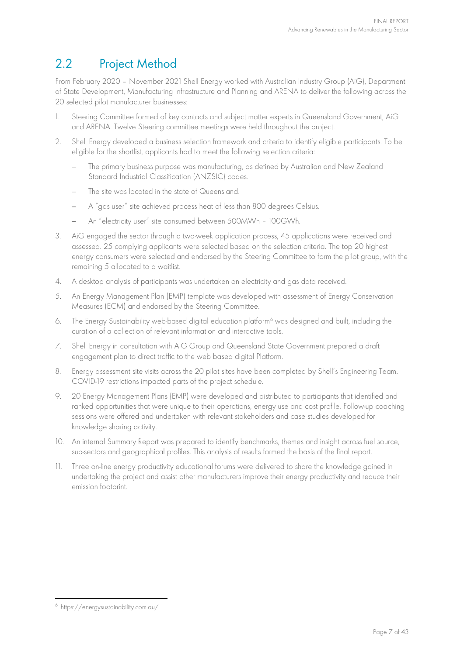## 2.2 Project Method

From February 2020 – November 2021 Shell Energy worked with Australian Industry Group (AiG), Department of State Development, Manufacturing Infrastructure and Planning and ARENA to deliver the following across the 20 selected pilot manufacturer businesses:

- 1. Steering Committee formed of key contacts and subject matter experts in Queensland Government, AiG and ARENA. Twelve Steering committee meetings were held throughout the project.
- 2. Shell Energy developed a business selection framework and criteria to identify eligible participants. To be eligible for the shortlist, applicants had to meet the following selection criteria:
	- The primary business purpose was manufacturing, as defined by Australian and New Zealand Standard Industrial Classification (ANZSIC) codes.
	- The site was located in the state of Queensland.
	- A "gas user" site achieved process heat of less than 800 degrees Celsius.
	- An "electricity user" site consumed between 500MWh 100GWh.
- 3. AiG engaged the sector through a two-week application process, 45 applications were received and assessed. 25 complying applicants were selected based on the selection criteria. The top 20 highest energy consumers were selected and endorsed by the Steering Committee to form the pilot group, with the remaining 5 allocated to a waitlist.
- 4. A desktop analysis of participants was undertaken on electricity and gas data received.
- 5. An Energy Management Plan (EMP) template was developed with assessment of Energy Conservation Measures (ECM) and endorsed by the Steering Committee.
- [6](#page-6-0). The Energy Sustainability web-based digital education platform<sup>6</sup> was designed and built, including the curation of a collection of relevant information and interactive tools.
- 7. Shell Energy in consultation with AiG Group and Queensland State Government prepared a draft engagement plan to direct traffic to the web based digital Platform.
- 8. Energy assessment site visits across the 20 pilot sites have been completed by Shell's Engineering Team. COVID-19 restrictions impacted parts of the project schedule.
- 9. 20 Energy Management Plans (EMP) were developed and distributed to participants that identified and ranked opportunities that were unique to their operations, energy use and cost profile. Follow-up coaching sessions were offered and undertaken with relevant stakeholders and case studies developed for knowledge sharing activity.
- 10. An internal Summary Report was prepared to identify benchmarks, themes and insight across fuel source, sub-sectors and geographical profiles. This analysis of results formed the basis of the final report.
- 11. Three on-line energy productivity educational forums were delivered to share the knowledge gained in undertaking the project and assist other manufacturers improve their energy productivity and reduce their emission footprint.

<span id="page-6-0"></span><sup>6</sup> <https://energysustainability.com.au/>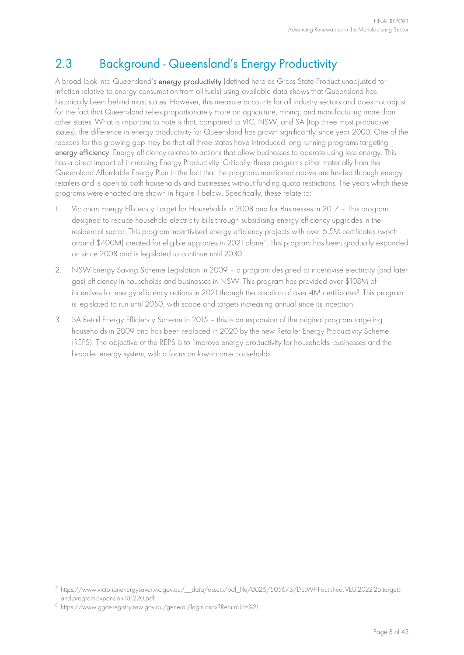## 2.3 Background - Queensland's Energy Productivity

A broad look into Queensland's energy productivity (defined here as Gross State Product unadjusted for inflation relative to energy consumption from all fuels) using available data shows that Queensland has historically been behind most states. However, this measure accounts for all industry sectors and does not adjust for the fact that Queensland relies proportionately more on agriculture, mining, and manufacturing more than other states. What is important to note is that, compared to VIC, NSW, and SA (top three most productive states), the difference in energy productivity for Queensland has grown significantly since year 2000. One of the reasons for this growing gap may be that all three states have introduced long running programs targeting energy efficiency. Energy efficiency relates to actions that allow businesses to operate using less energy. This has a direct impact of increasing Energy Productivity. Critically, these programs differ materially from the Queensland Affordable Energy Plan in the fact that the programs mentioned above are funded through energy retailers and is open to both households and businesses without funding quota restrictions. The years which these programs were enacted are shown in [Figure 1](#page-8-0) below. Specifically, these relate to:

- 1. Victorian Energy Efficiency Target for Households in 2008 and for Businesses in 2017 This program designed to reduce household electricity bills through subsidising energy efficiency upgrades in the residential sector. This program incentivised energy efficiency projects with over 6.5M certificates (worth around \$400M) created for eligible upgrades in 2021 alone[7](#page-7-0) . This program has been gradually expanded on since 2008 and is legislated to continue until 2030.
- 2. NSW Energy Saving Scheme Legislation in 2009 a program designed to incentivise electricity (and later gas) efficiency in households and businesses in NSW. This program has provided over \$108M of incentives for energy efficiency actions in 2021 through the creation of over 4M certificates<sup>[8](#page-7-1)</sup>. This program is legislated to run until 2050, with scope and targets increasing annual since its inception.
- 3. SA Retail Energy Efficiency Scheme in 2015 this is an expansion of the original program targeting households in 2009 and has been replaced in 2020 by the new Retailer Energy Productivity Scheme (REPS). The objective of the REPS is to 'improve energy productivity for households, businesses and the broader energy system, with a focus on low-income households.

<span id="page-7-0"></span><sup>7</sup> [https://www.victorianenergysaver.vic.gov.au/\\_\\_data/assets/pdf\\_file/0026/505673/DELWP-Fact-sheet-VEU-2022-25-targets](https://www.victorianenergysaver.vic.gov.au/__data/assets/pdf_file/0026/505673/DELWP-Fact-sheet-VEU-2022-25-targets-and-program-expansion-181220.pdf)[and-program-expansion-181220.pdf](https://www.victorianenergysaver.vic.gov.au/__data/assets/pdf_file/0026/505673/DELWP-Fact-sheet-VEU-2022-25-targets-and-program-expansion-181220.pdf)

<span id="page-7-1"></span><sup>8</sup> <https://www.ggas-registry.nsw.gov.au/general/login.aspx?ReturnUrl=%2f>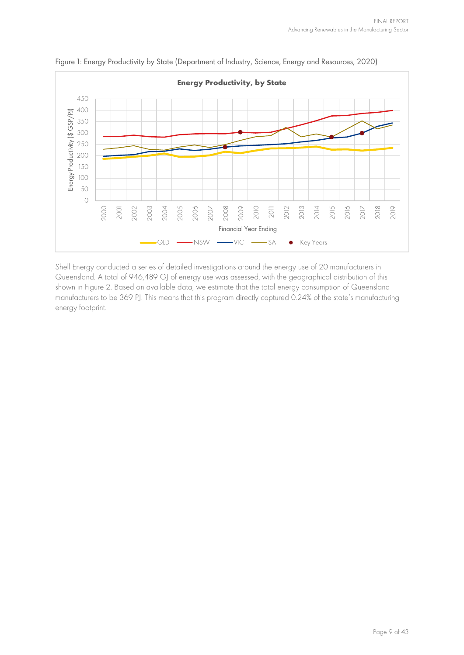

<span id="page-8-0"></span>Figure 1: Energy Productivity by State (Department of Industry, Science, Energy and Resources, 2020)

Shell Energy conducted a series of detailed investigations around the energy use of 20 manufacturers in Queensland. A total of 946,489 GJ of energy use was assessed, with the geographical distribution of this shown in [Figure 2.](#page-9-0) Based on available data, we estimate that the total energy consumption of Queensland manufacturers to be 369 PJ. This means that this program directly captured 0.24% of the state's manufacturing energy footprint.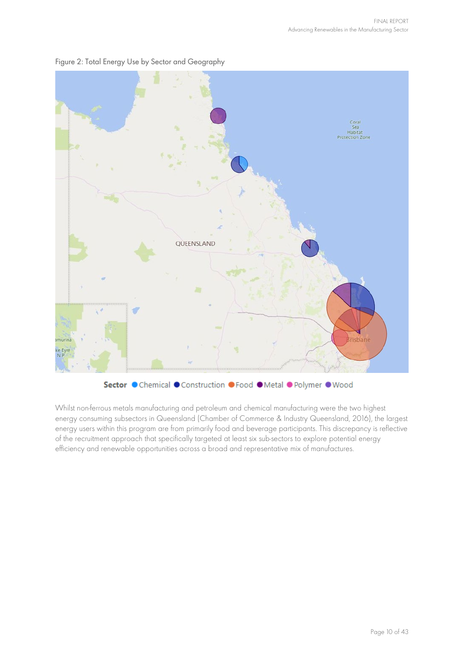

#### <span id="page-9-0"></span>Figure 2: Total Energy Use by Sector and Geography



Whilst non-ferrous metals manufacturing and petroleum and chemical manufacturing were the two highest energy consuming subsectors in Queensland (Chamber of Commerce & Industry Queensland, 2016), the largest energy users within this program are from primarily food and beverage participants. This discrepancy is reflective of the recruitment approach that specifically targeted at least six sub-sectors to explore potential energy efficiency and renewable opportunities across a broad and representative mix of manufactures.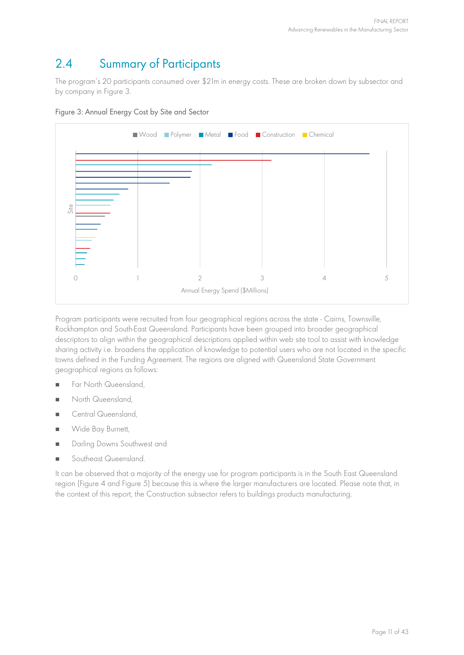### 2.4 Summary of Participants

The program's 20 participants consumed over \$21m in energy costs. These are broken down by subsector and by company in [Figure 3.](#page-10-0)

<span id="page-10-0"></span>



Program participants were recruited from four geographical regions across the state - Cairns, Townsville, Rockhampton and South-East Queensland. Participants have been grouped into broader geographical descriptors to align within the geographical descriptions applied within web site tool to assist with knowledge sharing activity i.e. broadens the application of knowledge to potential users who are not located in the specific towns defined in the Funding Agreement. The regions are aligned with Queensland State Government geographical regions as follows:

- **Far North Queensland**
- **North Queensland**
- Central Queensland,
- **No. 3** Wide Bay Burnett,
- **Darling Downs Southwest and**
- Southeast Queensland.

It can be observed that a majority of the energy use for program participants is in the South East Queensland region [\(Figure 4 a](#page-11-0)nd [Figure 5\)](#page-11-1) because this is where the larger manufacturers are located. Please note that, in the context of this report, the Construction subsector refers to buildings products manufacturing.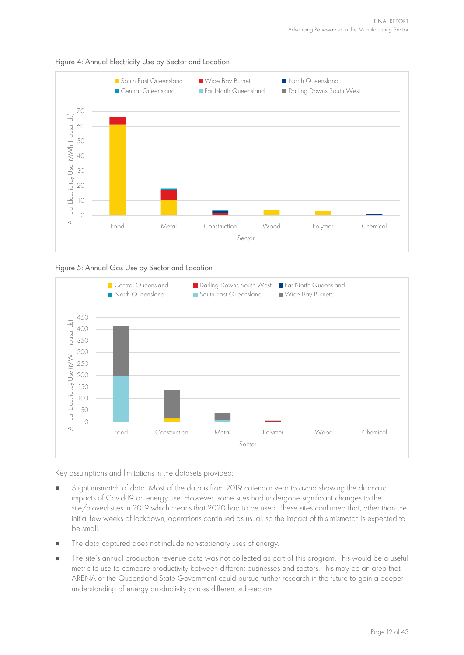

#### <span id="page-11-0"></span>Figure 4: Annual Electricity Use by Sector and Location

#### <span id="page-11-1"></span>Figure 5: Annual Gas Use by Sector and Location



Key assumptions and limitations in the datasets provided:

- Slight mismatch of data. Most of the data is from 2019 calendar year to avoid showing the dramatic impacts of Covid-19 on energy use. However, some sites had undergone significant changes to the site/moved sites in 2019 which means that 2020 had to be used. These sites confirmed that, other than the initial few weeks of lockdown, operations continued as usual, so the impact of this mismatch is expected to be small.
- The data captured does not include non-stationary uses of energy.
- The site's annual production revenue data was not collected as part of this program. This would be a useful metric to use to compare productivity between different businesses and sectors. This may be an area that ARENA or the Queensland State Government could pursue further research in the future to gain a deeper understanding of energy productivity across different sub-sectors.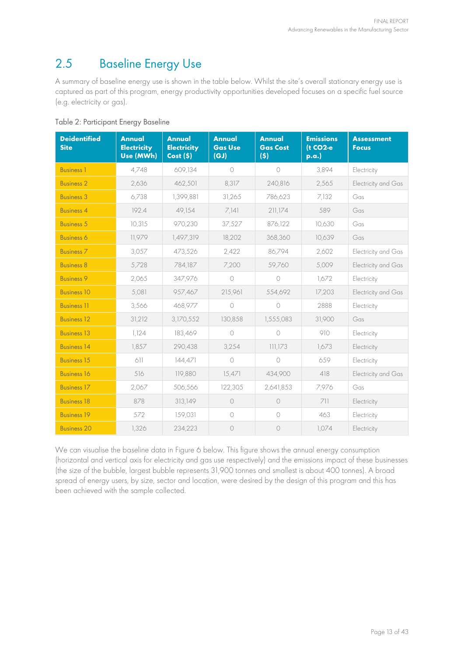## 2.5 Baseline Energy Use

A summary of baseline energy use is shown in the table below. Whilst the site's overall stationary energy use is captured as part of this program, energy productivity opportunities developed focuses on a specific fuel source (e.g. electricity or gas).

| <b>Deidentified</b><br><b>Site</b> | <b>Annual</b><br><b>Electricity</b><br>Use (MWh) | <b>Annual</b><br><b>Electricity</b><br>Cost(5) | Annual<br><b>Gas Use</b><br>(GJ) | <b>Annual</b><br><b>Gas Cost</b><br>(5) | <b>Emissions</b><br>(t CO2-e<br>p.a. | <b>Assessment</b><br><b>Focus</b> |
|------------------------------------|--------------------------------------------------|------------------------------------------------|----------------------------------|-----------------------------------------|--------------------------------------|-----------------------------------|
| <b>Business 1</b>                  | 4,748                                            | 609,134                                        | $\bigcap$                        | $\bigcap$                               | 3,894                                | Electricity                       |
| <b>Business 2</b>                  | 2,636                                            | 462,501                                        | 8,317                            | 240.816                                 | 2,565                                | Electricity and Gas               |
| <b>Business 3</b>                  | 6,738                                            | 1,399,881                                      | 31,265                           | 786,623                                 | 7,132                                | Gas                               |
| <b>Business 4</b>                  | 192.4                                            | 49,154                                         | 7,141                            | 211,174                                 | 589                                  | Gas                               |
| <b>Business 5</b>                  | 10,315                                           | 970,230                                        | 37,527                           | 876,122                                 | 10,630                               | Gas                               |
| <b>Business 6</b>                  | 11,979                                           | 1,497,319                                      | 18,202                           | 368,360                                 | 10,639                               | Gas                               |
| <b>Business 7</b>                  | 3,057                                            | 473,526                                        | 2,422                            | 86,794                                  | 2,602                                | Electricity and Gas               |
| <b>Business 8</b>                  | 5,728                                            | 784,187                                        | 7,200                            | 59,760                                  | 5,009                                | Electricity and Gas               |
| <b>Business 9</b>                  | 2,065                                            | 347,976                                        | $\bigcirc$                       | $\circ$                                 | 1,672                                | Electricity                       |
| <b>Business 10</b>                 | 5,081                                            | 957,467                                        | 215,961                          | 554,692                                 | 17,203                               | Electricity and Gas               |
| <b>Business 11</b>                 | 3,566                                            | 468.977                                        | $\bigcirc$                       | $\bigcirc$                              | 2888                                 | Electricity                       |
| <b>Business 12</b>                 | 31,212                                           | 3,170,552                                      | 130,858                          | 1,555,083                               | 31,900                               | Gas                               |
| <b>Business 13</b>                 | 1,124                                            | 183,469                                        | $\bigcirc$                       | $\bigcap$                               | 910                                  | Electricity                       |
| <b>Business 14</b>                 | 1,857                                            | 290,438                                        | 3,254                            | 111,173                                 | 1,673                                | Electricity                       |
| <b>Business 15</b>                 | 611                                              | 144,471                                        | $\bigcirc$                       | $\bigcirc$                              | 659                                  | Electricity                       |
| <b>Business 16</b>                 | 516                                              | 119,880                                        | 15,471                           | 434,900                                 | 418                                  | Electricity and Gas               |
| <b>Business 17</b>                 | 2,067                                            | 506,566                                        | 122,305                          | 2,641,853                               | 7,976                                | Gas                               |
| <b>Business 18</b>                 | 878                                              | 313,149                                        | $\circ$                          | $\circ$                                 | 711                                  | Electricity                       |
| <b>Business 19</b>                 | 572                                              | 159,031                                        | $\bigcirc$                       | $\bigcirc$                              | 463                                  | Electricity                       |
| <b>Business 20</b>                 | 1,326                                            | 234,223                                        | $\circ$                          | $\circ$                                 | 1,074                                | Electricity                       |

Table 2: Participant Energy Baseline

We can visualise the baseline data in [Figure 6](#page-13-0) below. This figure shows the annual energy consumption (horizontal and vertical axis for electricity and gas use respectively) and the emissions impact of these businesses (the size of the bubble, largest bubble represents 31,900 tonnes and smallest is about 400 tonnes). A broad spread of energy users, by size, sector and location, were desired by the design of this program and this has been achieved with the sample collected.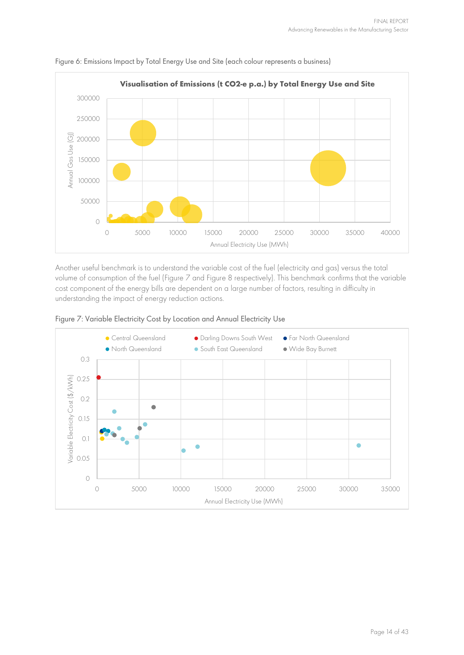

<span id="page-13-0"></span>

Another useful benchmark is to understand the variable cost of the fuel (electricity and gas) versus the total volume of consumption of the fuel [\(Figure 7](#page-13-1) and [Figure 8](#page-14-0) respectively). This benchmark confirms that the variable cost component of the energy bills are dependent on a large number of factors, resulting in difficulty in understanding the impact of energy reduction actions.

<span id="page-13-1"></span>

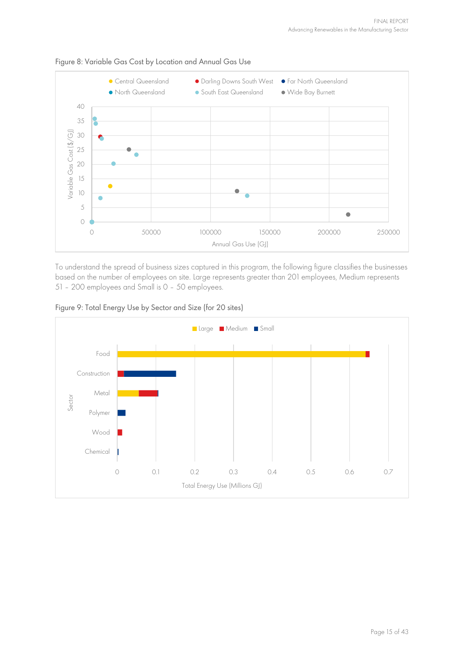

<span id="page-14-0"></span>Figure 8: Variable Gas Cost by Location and Annual Gas Use

To understand the spread of business sizes captured in this program, the following figure classifies the businesses based on the number of employees on site. Large represents greater than 201 employees, Medium represents 51 – 200 employees and Small is 0 – 50 employees.



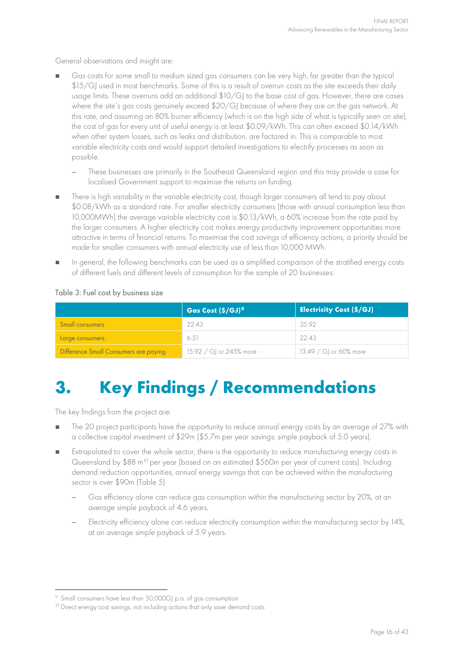General observations and insight are:

- Gas costs for some small to medium sized gas consumers can be very high, far greater than the typical \$15/GJ used in most benchmarks. Some of this is a result of overrun costs as the site exceeds their daily usage limits. These overruns add an additional \$10/GJ to the base cost of gas. However, there are cases where the site's gas costs genuinely exceed \$20/GJ because of where they are on the gas network. At this rate, and assuming an 80% burner efficiency (which is on the high side of what is typically seen on site), the cost of gas for every unit of useful energy is at least \$0.09/kWh. This can often exceed \$0.14/kWh when other system losses, such as leaks and distribution, are factored in. This is comparable to most variable electricity costs and would support detailed investigations to electrify processes as soon as possible.
	- These businesses are primarily in the Southeast Queensland region and this may provide a case for localised Government support to maximise the returns on funding.
- There is high variability in the variable electricity cost, though larger consumers all tend to pay about \$0.08/kWh as a standard rate. For smaller electricity consumers (those with annual consumption less than 10,000MWh) the average variable electricity cost is \$0.13/kWh, a 60% increase from the rate paid by the larger consumers. A higher electricity cost makes energy productivity improvement opportunities more attractive in terms of financial returns. To maximise the cost savings of efficiency actions, a priority should be made for smaller consumers with annual electricity use of less than 10,000 MWh.
- In general, the following benchmarks can be used as a simplified comparison of the stratified energy costs of different fuels and different levels of consumption for the sample of 20 businesses:

#### Table 3: Fuel cost by business size

|                                       | Gas Cost (\$/GJ) <sup>9</sup> | <b>Electricity Cost (\$/GJ)</b> |
|---------------------------------------|-------------------------------|---------------------------------|
| Small consumers                       | 22.43                         | 35.92                           |
| Large consumers                       | 6.51                          | 22.43                           |
| Difference Small Consumers are paying | 15.92 / GI or 245% more       | 13.49 / GI or 60% more          |

## <span id="page-15-2"></span>**3. Key Findings / Recommendations**

The key findings from the project are:

- The 20 project participants have the opportunity to reduce annual energy costs by an average of 27% with a collective capital investment of \$29m (\$5.7m per year savings; simple payback of 5.0 years).
- Extrapolated to cover the whole sector, there is the opportunity to reduce manufacturing energy costs in Queensland by  $$88$  m<sup>[10](#page-15-1)</sup> per year (based on an estimated  $$560m$  per year of current costs). Including demand reduction opportunities, annual energy savings that can be achieved within the manufacturing sector is over \$90m [\(Table 5\)](#page-20-0)
	- Gas efficiency alone can reduce gas consumption within the manufacturing sector by 20%, at an average simple payback of 4.6 years.
	- Electricity efficiency alone can reduce electricity consumption within the manufacturing sector by 14%, at an average simple payback of 5.9 years.

<span id="page-15-0"></span><sup>9</sup> Small consumers have less than 50,000GJ p.a. of gas consumption

<span id="page-15-1"></span><sup>&</sup>lt;sup>10</sup> Direct energy cost savings, not including actions that only save demand costs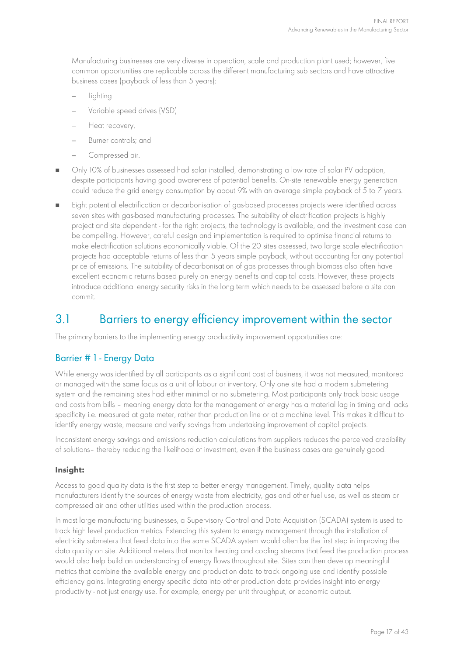Manufacturing businesses are very diverse in operation, scale and production plant used; however, five common opportunities are replicable across the different manufacturing sub sectors and have attractive business cases (payback of less than 5 years):

- Lighting
- Variable speed drives (VSD)
- Heat recovery,
- Burner controls; and
- Compressed air.
- Only 10% of businesses assessed had solar installed, demonstrating a low rate of solar PV adoption, despite participants having good awareness of potential benefits. On-site renewable energy generation could reduce the grid energy consumption by about 9% with an average simple payback of 5 to 7 years.
- Eight potential electrification or decarbonisation of gas-based processes projects were identified across seven sites with gas-based manufacturing processes. The suitability of electrification projects is highly project and site dependent - for the right projects, the technology is available, and the investment case can be compelling. However, careful design and implementation is required to optimise financial returns to make electrification solutions economically viable. Of the 20 sites assessed, two large scale electrification projects had acceptable returns of less than 5 years simple payback, without accounting for any potential price of emissions. The suitability of decarbonisation of gas processes through biomass also often have excellent economic returns based purely on energy benefits and capital costs. However, these projects introduce additional energy security risks in the long term which needs to be assessed before a site can commit.

### 3.1 Barriers to energy efficiency improvement within the sector

The primary barriers to the implementing energy productivity improvement opportunities are:

#### Barrier # 1 - Energy Data

While energy was identified by all participants as a significant cost of business, it was not measured, monitored or managed with the same focus as a unit of labour or inventory. Only one site had a modern submetering system and the remaining sites had either minimal or no submetering. Most participants only track basic usage and costs from bills – meaning energy data for the management of energy has a material lag in timing and lacks specificity i.e. measured at gate meter, rather than production line or at a machine level. This makes it difficult to identify energy waste, measure and verify savings from undertaking improvement of capital projects.

Inconsistent energy savings and emissions reduction calculations from suppliers reduces the perceived credibility of solutions– thereby reducing the likelihood of investment, even if the business cases are genuinely good.

#### **Insight:**

Access to good quality data is the first step to better energy management. Timely, quality data helps manufacturers identify the sources of energy waste from electricity, gas and other fuel use, as well as steam or compressed air and other utilities used within the production process.

In most large manufacturing businesses, a Supervisory Control and Data Acquisition (SCADA) system is used to track high level production metrics. Extending this system to energy management through the installation of electricity submeters that feed data into the same SCADA system would often be the first step in improving the data quality on site. Additional meters that monitor heating and cooling streams that feed the production process would also help build an understanding of energy flows throughout site. Sites can then develop meaningful metrics that combine the available energy and production data to track ongoing use and identify possible efficiency gains. Integrating energy specific data into other production data provides insight into energy productivity - not just energy use. For example, energy per unit throughput, or economic output.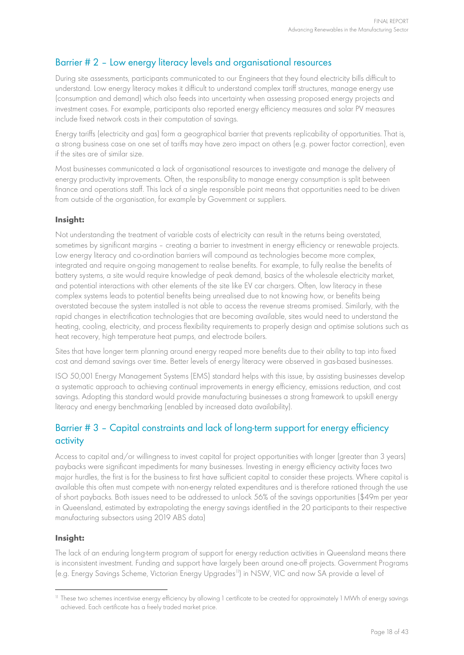#### Barrier # 2 – Low energy literacy levels and organisational resources

During site assessments, participants communicated to our Engineers that they found electricity bills difficult to understand. Low energy literacy makes it difficult to understand complex tariff structures, manage energy use (consumption and demand) which also feeds into uncertainty when assessing proposed energy projects and investment cases. For example, participants also reported energy efficiency measures and solar PV measures include fixed network costs in their computation of savings.

Energy tariffs (electricity and gas) form a geographical barrier that prevents replicability of opportunities. That is, a strong business case on one set of tariffs may have zero impact on others (e.g. power factor correction), even if the sites are of similar size.

Most businesses communicated a lack of organisational resources to investigate and manage the delivery of energy productivity improvements. Often, the responsibility to manage energy consumption is split between finance and operations staff. This lack of a single responsible point means that opportunities need to be driven from outside of the organisation, for example by Government or suppliers.

#### **Insight:**

Not understanding the treatment of variable costs of electricity can result in the returns being overstated, sometimes by significant margins – creating a barrier to investment in energy efficiency or renewable projects. Low energy literacy and co-ordination barriers will compound as technologies become more complex, integrated and require on-going management to realise benefits. For example, to fully realise the benefits of battery systems, a site would require knowledge of peak demand, basics of the wholesale electricity market, and potential interactions with other elements of the site like EV car chargers. Often, low literacy in these complex systems leads to potential benefits being unrealised due to not knowing how, or benefits being overstated because the system installed is not able to access the revenue streams promised. Similarly, with the rapid changes in electrification technologies that are becoming available, sites would need to understand the heating, cooling, electricity, and process flexibility requirements to properly design and optimise solutions such as heat recovery, high temperature heat pumps, and electrode boilers.

Sites that have longer term planning around energy reaped more benefits due to their ability to tap into fixed cost and demand savings over time. Better levels of energy literacy were observed in gas-based businesses.

ISO 50,001 Energy Management Systems (EMS) standard helps with this issue, by assisting businesses develop a systematic approach to achieving continual improvements in energy efficiency, emissions reduction, and cost savings. Adopting this standard would provide manufacturing businesses a strong framework to upskill energy literacy and energy benchmarking (enabled by increased data availability).

#### Barrier # 3 – Capital constraints and lack of long-term support for energy efficiency activity

Access to capital and/or willingness to invest capital for project opportunities with longer (greater than 3 years) paybacks were significant impediments for many businesses. Investing in energy efficiency activity faces two major hurdles, the first is for the business to first have sufficient capital to consider these projects. Where capital is available this often must compete with non-energy related expenditures and is therefore rationed through the use of short paybacks. Both issues need to be addressed to unlock 56% of the savings opportunities (\$49m per year in Queensland, estimated by extrapolating the energy savings identified in the 20 participants to their respective manufacturing subsectors using 2019 ABS data)

#### **Insight:**

The lack of an enduring long-term program of support for energy reduction activities in Queensland means there is inconsistent investment. Funding and support have largely been around one-off projects. Government Programs (e.g. Energy Savings Scheme, Victorian Energy Upgrades<sup>[11](#page-17-0)</sup>) in NSW, VIC and now SA provide a level of

<span id="page-17-0"></span><sup>&</sup>lt;sup>11</sup> These two schemes incentivise energy efficiency by allowing 1 certificate to be created for approximately 1 MWh of energy savings achieved. Each certificate has a freely traded market price.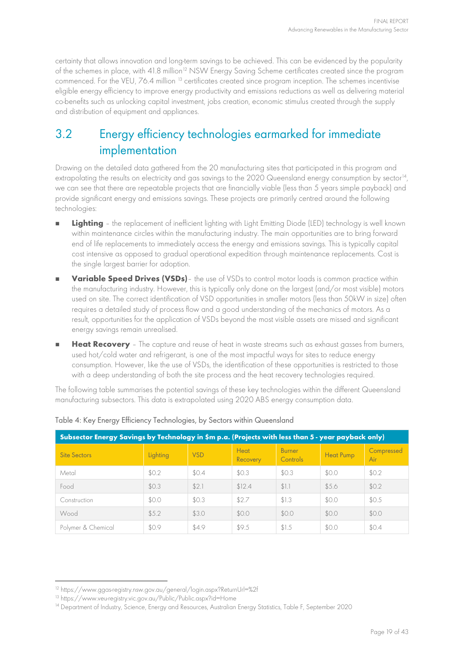<span id="page-18-3"></span>certainty that allows innovation and long-term savings to be achieved. This can be evidenced by the popularity of the schemes in place, with 41.8 million<sup>[12](#page-18-0)</sup> NSW Energy Saving Scheme certificates created since the program commenced. For the VEU, 76.4 million <sup>[13](#page-18-1)</sup> certificates created since program inception. The schemes incentivise eligible energy efficiency to improve energy productivity and emissions reductions as well as delivering material co-benefits such as unlocking capital investment, jobs creation, economic stimulus created through the supply and distribution of equipment and appliances.

### <span id="page-18-4"></span>3.2 Energy efficiency technologies earmarked for immediate implementation

Drawing on the detailed data gathered from the 20 manufacturing sites that participated in this program and extrapolating the results on electricity and gas savings to the 2020 Queensland energy consumption by sector<sup>[14](#page-18-2)</sup>, we can see that there are repeatable projects that are financially viable (less than 5 years simple payback) and provide significant energy and emissions savings. These projects are primarily centred around the following technologies:

- **Lighting** the replacement of inefficient lighting with Light Emitting Diode (LED) technology is well known within maintenance circles within the manufacturing industry. The main opportunities are to bring forward end of life replacements to immediately access the energy and emissions savings. This is typically capital cost intensive as opposed to gradual operational expedition through maintenance replacements. Cost is the single largest barrier for adoption.
- **Variable Speed Drives (VSDs)** the use of VSDs to control motor loads is common practice within the manufacturing industry. However, this is typically only done on the largest (and/or most visible) motors used on site. The correct identification of VSD opportunities in smaller motors (less than 50kW in size) often requires a detailed study of process flow and a good understanding of the mechanics of motors. As a result, opportunities for the application of VSDs beyond the most visible assets are missed and significant energy savings remain unrealised.
- **Heat Recovery** The capture and reuse of heat in waste streams such as exhaust gasses from burners, used hot/cold water and refrigerant, is one of the most impactful ways for sites to reduce energy consumption. However, like the use of VSDs, the identification of these opportunities is restricted to those with a deep understanding of both the site process and the heat recovery technologies required.

The following table summarises the potential savings of these key technologies within the different Queensland manufacturing subsectors. This data is extrapolated using 2020 ABS energy consumption data.

| Subsector Energy Savings by Technology in \$m p.a. (Projects with less than 5 - year payback only) |          |            |                         |                           |                  |                   |  |  |  |  |
|----------------------------------------------------------------------------------------------------|----------|------------|-------------------------|---------------------------|------------------|-------------------|--|--|--|--|
| <b>Site Sectors</b>                                                                                | Lighting | <b>VSD</b> | <b>Heat</b><br>Recovery | <b>Burner</b><br>Controls | <b>Heat Pump</b> | Compressed<br>Air |  |  |  |  |
| Metal                                                                                              | \$0.2    | \$0.4      | \$0.3                   | \$0.3                     | \$0.0            | \$0.2             |  |  |  |  |
| Food                                                                                               | \$0.3    | \$2.1      | \$12.4                  | \$1.                      | \$5.6            | \$0.2             |  |  |  |  |
| Construction                                                                                       | \$0.0    | \$0.3      | \$2.7                   | \$1.3                     | \$0.0            | \$0.5             |  |  |  |  |
| Wood                                                                                               | \$5.2    | \$3.0      | \$0.0                   | \$0.0                     | \$0.0            | \$0.0             |  |  |  |  |
| Polymer & Chemical                                                                                 | \$0.9    | \$4.9      | \$9.5                   | \$1.5                     | \$0.0            | \$0.4             |  |  |  |  |

#### <span id="page-18-5"></span>Table 4: Key Energy Efficiency Technologies, by Sectors within Queensland

<span id="page-18-0"></span><sup>12</sup> <https://www.ggas-registry.nsw.gov.au/general/login.aspx?ReturnUrl=%2f>

<span id="page-18-1"></span><sup>13</sup> <https://www.veu-registry.vic.gov.au/Public/Public.aspx?id=Home>

<span id="page-18-2"></span><sup>&</sup>lt;sup>14</sup> Department of Industry, Science, Energy and Resources, Australian Energy Statistics, Table F, September 2020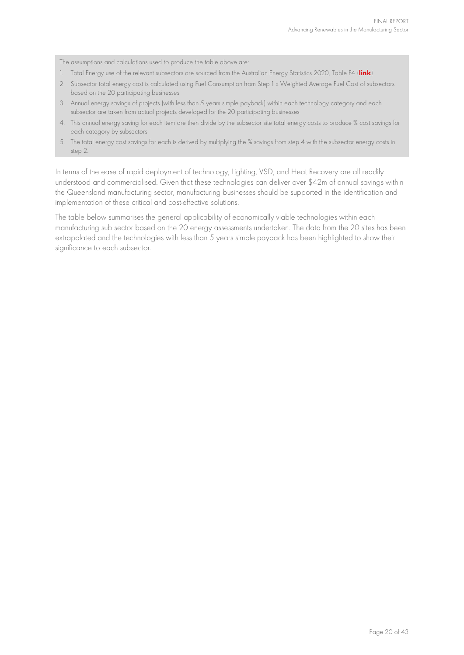The assumptions and calculations used to produce the table above are:

- 1. Total Energy use of the relevant subsectors are sourced from the Australian Energy Statistics 2020, Table F4 (**[link](https://www.energy.gov.au/sites/default/files/Australian%20Energy%20Statistics%202020%20Table%20F.xlsx)**)
- 2. Subsector total energy cost is calculated using Fuel Consumption from Step 1 x Weighted Average Fuel Cost of subsectors based on the 20 participating businesses
- 3. Annual energy savings of projects (with less than 5 years simple payback) within each technology category and each subsector are taken from actual projects developed for the 20 participating businesses
- 4. This annual energy saving for each item are then divide by the subsector site total energy costs to produce % cost savings for each category by subsectors
- 5. The total energy cost savings for each is derived by multiplying the % savings from step 4 with the subsector energy costs in step 2.

In terms of the ease of rapid deployment of technology, Lighting, VSD, and Heat Recovery are all readily understood and commercialised. Given that these technologies can deliver over \$42m of annual savings within the Queensland manufacturing sector, manufacturing businesses should be supported in the identification and implementation of these critical and cost-effective solutions.

The table below summarises the general applicability of economically viable technologies within each manufacturing sub sector based on the 20 energy assessments undertaken. The data from the 20 sites has been extrapolated and the technologies with less than 5 years simple payback has been highlighted to show their significance to each subsector.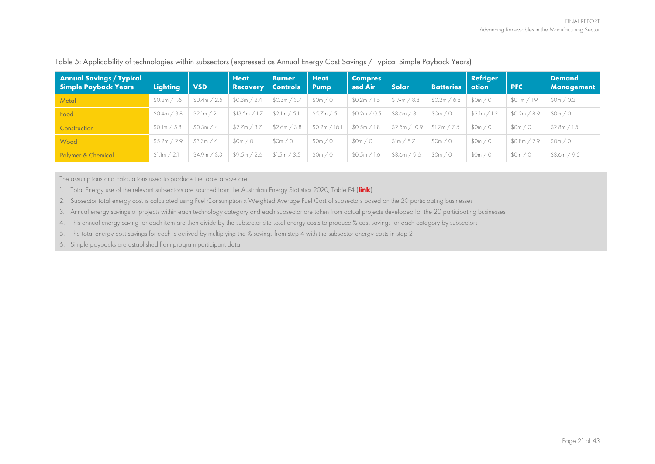| <b>Annual Savings / Typical</b><br><b>Simple Payback Years</b> | <b>Lighting</b> | <b>VSD</b>   | <b>Heat</b><br><b>Recovery</b> | <b>Burner</b><br><b>Controls</b> | <b>Heat</b><br><b>Pump</b> | <b>Compres</b><br>sed Air | Solar                 | <b>Batteries</b> | <b>Refriger</b><br>ation | <b>PFC</b>      | <b>Demand</b><br><b>Management</b> |
|----------------------------------------------------------------|-----------------|--------------|--------------------------------|----------------------------------|----------------------------|---------------------------|-----------------------|------------------|--------------------------|-----------------|------------------------------------|
| Metal                                                          | \$0.2m / 1.6    | \$0.4m / 2.5 | \$0.3m / 2.4                   | \$0.3m / 3.7                     | 50m/0                      | \$0.2m / 1.5              | \$1.9m / 8.8          | \$0.2m / 6.8     | \$0m/0                   | \$0.1m / 1.9    | \$0m / 0.2                         |
| Food                                                           | \$0.4m / 3.8    | \$2.lm / 2   | \$13.5m / 1.7                  | \$2.1m / 5.1                     | \$5.7m / 5                 | \$0.2m / 0.5              | \$8.6m / 8            | \$0m/0           | \$2.lm / 1.2             | \$0.2m/<br>48.9 | 50m/0                              |
| <b>Construction</b>                                            | \$0.1m / 5.8    | \$0.3m / 4   | \$2.7m / 3.7                   | \$2.6m / 3.8                     | \$0.2m / 16.1              | \$0.5m / 1.8              | \$2.5m / 10.9         | \$1.7m / 7.5     | \$0m/0                   | \$0m/0          | \$2.8m / 1.5                       |
| Wood                                                           | \$5.2m / 2.9    | \$3.3m / 4   | 50m/0                          | \$0m / 0                         | \$0m/0                     | \$0m/0                    | $\frac{1}{2}$ m / 8.7 | \$0m/0           | \$0m/0                   | \$0.8m / 2.9    | \$0m/0                             |
| Polymer & Chemical                                             | \$1.1m / 2.1    | \$4.9m / 3.3 | \$9.5m / 2.6                   | \$1.5m / 3.5                     | 50m/0                      | \$0.5m / 1.6              | \$3.6m / 9.6          | \$0m / 0         | \$0m/0                   | \$0m/0          | \$3.6m / 9.5                       |

Table 5: Applicability of technologies within subsectors (expressed as Annual Energy Cost Savings / Typical Simple Payback Years)

The assumptions and calculations used to produce the table above are:

1. Total Energy use of the relevant subsectors are sourced from the Australian Energy Statistics 2020, Table F4 (**[link](https://www.energy.gov.au/sites/default/files/Australian%20Energy%20Statistics%202020%20Table%20F.xlsx)**)

2. Subsector total energy cost is calculated using Fuel Consumption x Weighted Average Fuel Cost of subsectors based on the 20 participating businesses

3. Annual energy savings of projects within each technology category and each subsector are taken from actual projects developed for the 20 participating businesses

4. This annual energy saving for each item are then divide by the subsector site total energy costs to produce % cost savings for each category by subsectors

5. The total energy cost savings for each is derived by multiplying the % savings from step 4 with the subsector energy costs in step 2

<span id="page-20-0"></span>6. Simple paybacks are established from program participant data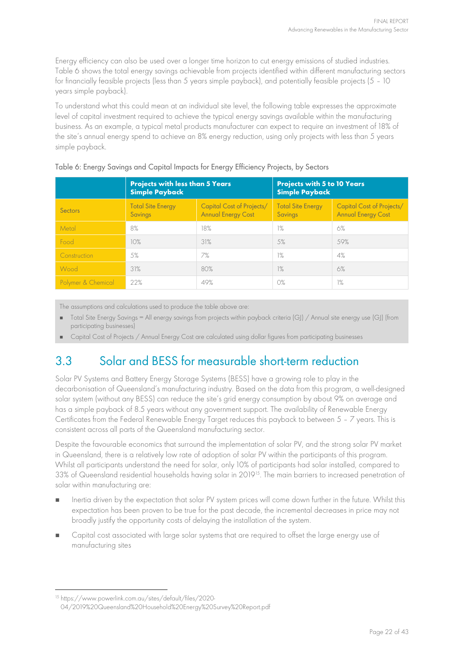Energy efficiency can also be used over a longer time horizon to cut energy emissions of studied industries. [Table 6](#page-21-0) shows the total energy savings achievable from projects identified within different manufacturing sectors for financially feasible projects (less than 5 years simple payback), and potentially feasible projects (5 – 10 years simple payback).

To understand what this could mean at an individual site level, the following table expresses the approximate level of capital investment required to achieve the typical energy savings available within the manufacturing business. As an example, a typical metal products manufacturer can expect to require an investment of 18% of the site's annual energy spend to achieve an 8% energy reduction, using only projects with less than 5 years simple payback.

|                    | <b>Projects with less than 5 Years</b><br><b>Simple Payback</b> |                                                        | <b>Projects with 5 to 10 Years</b><br>Simple Payback |                                                        |  |
|--------------------|-----------------------------------------------------------------|--------------------------------------------------------|------------------------------------------------------|--------------------------------------------------------|--|
| <b>Sectors</b>     | <b>Total Site Energy</b><br>Savings                             | Capital Cost of Projects/<br><b>Annual Energy Cost</b> | <b>Total Site Energy</b><br>Savings                  | Capital Cost of Projects/<br><b>Annual Energy Cost</b> |  |
| Metal              | 8%                                                              | 18%                                                    | 1%                                                   | 6%                                                     |  |
| Food               | 10%                                                             | 31%                                                    | 5%                                                   | 59%                                                    |  |
| Construction       | 5%                                                              | 7%                                                     | 1%                                                   | 4%                                                     |  |
| Wood               | 31%                                                             | 80%                                                    | 1%                                                   | 6%                                                     |  |
| Polymer & Chemical | 22%                                                             | 49%                                                    | O%                                                   | 1%                                                     |  |

<span id="page-21-0"></span>Table 6: Energy Savings and Capital Impacts for Energy Efficiency Projects, by Sectors

The assumptions and calculations used to produce the table above are:

- Total Site Energy Savings = All energy savings from projects within payback criteria (GJ) / Annual site energy use (GJ) (from participating businesses)
- Capital Cost of Projects / Annual Energy Cost are calculated using dollar figures from participating businesses

## <span id="page-21-2"></span>3.3 Solar and BESS for measurable short-term reduction

Solar PV Systems and Battery Energy Storage Systems (BESS) have a growing role to play in the decarbonisation of Queensland's manufacturing industry. Based on the data from this program, a well-designed solar system (without any BESS) can reduce the site's grid energy consumption by about 9% on average and has a simple payback of 8.5 years without any government support. The availability of Renewable Energy Certificates from the Federal Renewable Energy Target reduces this payback to between 5 – 7 years. This is consistent across all parts of the Queensland manufacturing sector.

Despite the favourable economics that surround the implementation of solar PV, and the strong solar PV market in Queensland, there is a relatively low rate of adoption of solar PV within the participants of this program. Whilst all participants understand the need for solar, only 10% of participants had solar installed, compared to 33% of Queensland residential households having solar in 2019<sup>[15](#page-21-1)</sup>. The main barriers to increased penetration of solar within manufacturing are:

- Inertia driven by the expectation that solar PV system prices will come down further in the future. Whilst this expectation has been proven to be true for the past decade, the incremental decreases in price may not broadly justify the opportunity costs of delaying the installation of the system.
- Capital cost associated with large solar systems that are required to offset the large energy use of manufacturing sites

<span id="page-21-1"></span><sup>15</sup> [https://www.powerlink.com.au/sites/default/files/2020-](https://www.powerlink.com.au/sites/default/files/2020-04/2019%20Queensland%20Household%20Energy%20Survey%20Report.pdf) [04/2019%20Queensland%20Household%20Energy%20Survey%20Report.pdf](https://www.powerlink.com.au/sites/default/files/2020-04/2019%20Queensland%20Household%20Energy%20Survey%20Report.pdf)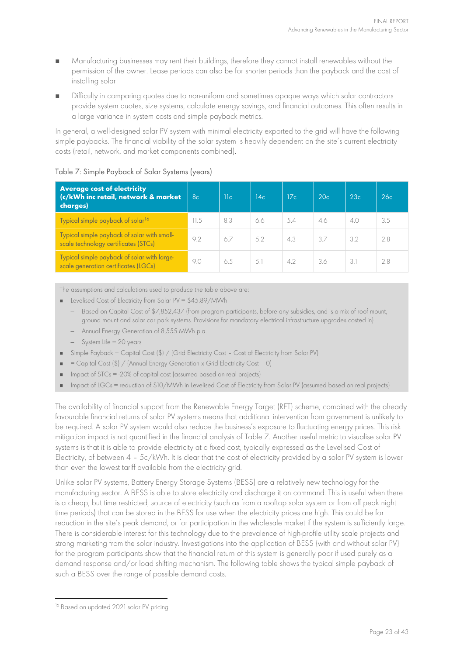- Manufacturing businesses may rent their buildings, therefore they cannot install renewables without the permission of the owner. Lease periods can also be for shorter periods than the payback and the cost of installing solar
- Difficulty in comparing quotes due to non-uniform and sometimes opaque ways which solar contractors provide system quotes, size systems, calculate energy savings, and financial outcomes. This often results in a large variance in system costs and simple payback metrics.

In general, a well-designed solar PV system with minimal electricity exported to the grid will have the following simple paybacks. The financial viability of the solar system is heavily dependent on the site's current electricity costs (retail, network, and market components combined).

<span id="page-22-0"></span>

| Table 7: Simple Payback of Solar Systems (years) |  |  |  |  |  |  |  |
|--------------------------------------------------|--|--|--|--|--|--|--|
|--------------------------------------------------|--|--|--|--|--|--|--|

| <b>Average cost of electricity</b><br>(c/kWh inc retail, network & market<br>charges) | 8 <sub>c</sub> | 11c | 14 <sub>c</sub> | 17c | 20c | 23c           | 26c |
|---------------------------------------------------------------------------------------|----------------|-----|-----------------|-----|-----|---------------|-----|
| Typical simple payback of solar <sup>16</sup>                                         | 11.5           | 8.3 | 6.6             | 5.4 | 4.6 | 4.0           | 3.5 |
| Typical simple payback of solar with small-<br>scale technology certificates (STCs)   | 9.2            | 6.7 | 5.2             | 4.3 | 37  | 3.2           | 2.8 |
| Typical simple payback of solar with large-<br>scale generation certificates (LGCs)   | 9.0            | 6.5 | 5.1             | 4.2 | 3.6 | $\mathcal{E}$ | 2.8 |

The assumptions and calculations used to produce the table above are:

- Levelised Cost of Electricity from Solar PV = \$45.89/MWh
	- Based on Capital Cost of \$7,852,437 (from program participants, before any subsidies, and is a mix of roof mount, ground mount and solar car park systems. Provisions for mandatory electrical infrastructure upgrades costed in)
	- Annual Energy Generation of 8,555 MWh p.a.
	- System Life = 20 years
- Simple Payback = Capital Cost (\$) / (Grid Electricity Cost Cost of Electricity from Solar PV)
- $=$  Capital Cost  $(\$)$  / (Annual Energy Generation x Grid Electricity Cost 0)
- Impact of STCs = -20% of capital cost (assumed based on real projects)
- Impact of LGCs = reduction of \$10/MWh in Levelised Cost of Electricity from Solar PV (assumed based on real projects)

The availability of financial support from the Renewable Energy Target (RET) scheme, combined with the already favourable financial returns of solar PV systems means that additional intervention from government is unlikely to be required. A solar PV system would also reduce the business's exposure to fluctuating energy prices. This risk mitigation impact is not quantified in the financial analysis of [Table 7.](#page-22-0) Another useful metric to visualise solar PV systems is that it is able to provide electricity at a fixed cost, typically expressed as the Levelised Cost of Electricity, of between 4 – 5c/kWh. It is clear that the cost of electricity provided by a solar PV system is lower than even the lowest tariff available from the electricity grid.

Unlike solar PV systems, Battery Energy Storage Systems (BESS) are a relatively new technology for the manufacturing sector. A BESS is able to store electricity and discharge it on command. This is useful when there is a cheap, but time restricted, source of electricity (such as from a rooftop solar system or from off peak night time periods) that can be stored in the BESS for use when the electricity prices are high. This could be for reduction in the site's peak demand, or for participation in the wholesale market if the system is sufficiently large. There is considerable interest for this technology due to the prevalence of high-profile utility scale projects and strong marketing from the solar industry. Investigations into the application of BESS (with and without solar PV) for the program participants show that the financial return of this system is generally poor if used purely as a demand response and/or load shifting mechanism. The following table shows the typical simple payback of such a BESS over the range of possible demand costs.

<span id="page-22-1"></span><sup>&</sup>lt;sup>16</sup> Based on updated 2021 solar PV pricing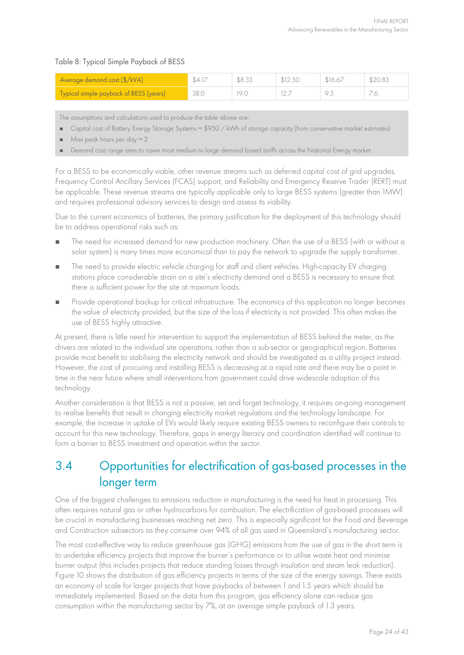#### <span id="page-23-0"></span>Table 8: Typical Simple Payback of BESS

| Average demand cost (\$/kVA)           | \$4.17 | \$8.33 | \$12.50 | \$16.67 | \$20.83 |
|----------------------------------------|--------|--------|---------|---------|---------|
| Typical simple payback of BESS (years) | 38.0   | 19.0   |         |         |         |

The assumptions and calculations used to produce the table above are:

- Gapital cost of Battery Energy Storage Systems =  $$950 / kWh$  of storage capacity (from conservative market estimates)
- Max peak hours per  $day = 2$
- Demand cost range aims to cover most medium to large demand based tariffs across the National Energy market

For a BESS to be economically viable, other revenue streams such as deferred capital cost of grid upgrades, Frequency Control Ancillary Services (FCAS) support, and Reliability and Emergency Reserve Trader (RERT) must be applicable. These revenue streams are typically applicable only to large BESS systems (greater than 1MW) and requires professional advisory services to design and assess its viability.

Due to the current economics of batteries, the primary justification for the deployment of this technology should be to address operational risks such as:

- The need for increased demand for new production machinery. Often the use of a BESS (with or without a solar system) is many times more economical than to pay the network to upgrade the supply transformer.
- The need to provide electric vehicle charging for staff and client vehicles. High-capacity EV charging stations place considerable strain on a site's electricity demand and a BESS is necessary to ensure that there is sufficient power for the site at maximum loads.
- **Provide operational backup for critical infrastructure. The economics of this application no longer becomes** the value of electricity provided, but the size of the loss if electricity is not provided. This often makes the use of BESS highly attractive.

At present, there is little need for intervention to support the implementation of BESS behind the meter, as the drivers are related to the individual site operations, rather than a sub-sector or geographical region. Batteries provide most benefit to stabilising the electricity network and should be investigated as a utility project instead. However, the cost of procuring and installing BESS is decreasing at a rapid rate and there may be a point in time in the near future where small interventions from government could drive widescale adoption of this technology.

Another consideration is that BESS is not a passive, set and forget technology, it requires on-going management to realise benefits that result in changing electricity market regulations and the technology landscape. For example, the increase in uptake of EVs would likely require existing BESS owners to reconfigure their controls to account for this new technology. Therefore, gaps in energy literacy and coordination identified will continue to form a barrier to BESS investment and operation within the sector.

### <span id="page-23-1"></span>3.4 Opportunities for electrification of gas-based processes in the longer term

One of the biggest challenges to emissions reduction in manufacturing is the need for heat in processing. This often requires natural gas or other hydrocarbons for combustion. The electrification of gas-based processes will be crucial in manufacturing businesses reaching net zero. This is especially significant for the Food and Beverage and Construction subsectors as they consume over 94% of all gas used in Queensland's manufacturing sector.

The most cost-effective way to reduce greenhouse gas (GHG) emissions from the use of gas in the short term is to undertake efficiency projects that improve the burner's performance or to utilise waste heat and minimise burner output (this includes projects that reduce standing losses through insulation and steam leak reduction). [Figure](#page-24-0) 10 shows the distribution of gas efficiency projects in terms of the size of the energy savings. There exists an economy of scale for larger projects that have paybacks of between 1 and 1.5 years which should be immediately implemented. Based on the data from this program, gas efficiency alone can reduce gas consumption within the manufacturing sector by 7%, at an average simple payback of 1.3 years.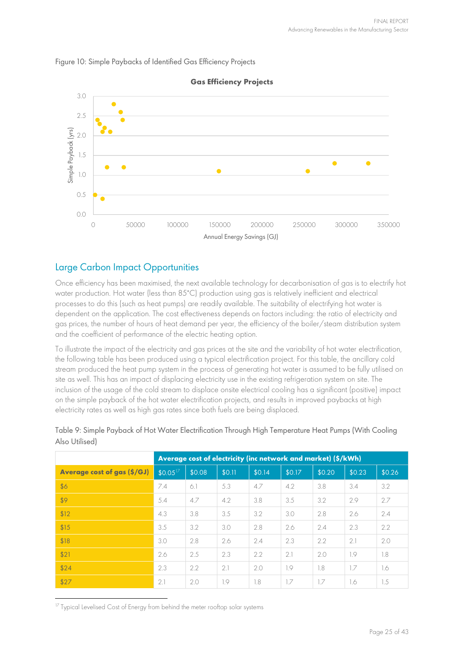<span id="page-24-0"></span>



#### **Gas Efficiency Projects**

#### Large Carbon Impact Opportunities

Once efficiency has been maximised, the next available technology for decarbonisation of gas is to electrify hot water production. Hot water (less than 85˚C) production using gas is relatively inefficient and electrical processes to do this (such as heat pumps) are readily available. The suitability of electrifying hot water is dependent on the application. The cost effectiveness depends on factors including: the ratio of electricity and gas prices, the number of hours of heat demand per year, the efficiency of the boiler/steam distribution system and the coefficient of performance of the electric heating option.

To illustrate the impact of the electricity and gas prices at the site and the variability of hot water electrification, the following table has been produced using a typical electrification project. For this table, the ancillary cold stream produced the heat pump system in the process of generating hot water is assumed to be fully utilised on site as well. This has an impact of displacing electricity use in the existing refrigeration system on site. The inclusion of the usage of the cold stream to displace onsite electrical cooling has a significant (positive) impact on the simple payback of the hot water electrification projects, and results in improved paybacks at high electricity rates as well as high gas rates since both fuels are being displaced.

|                                    |              | Average cost of electricity (inc network and market) (\$/kWh) |        |        |        |        |        |        |  |
|------------------------------------|--------------|---------------------------------------------------------------|--------|--------|--------|--------|--------|--------|--|
| <b>Average cost of gas (\$/GJ)</b> | $$0.05^{17}$ | \$0.08                                                        | \$0.11 | \$0.14 | \$0.17 | \$0.20 | \$0.23 | \$0.26 |  |
| \$6                                | 7.4          | 6.1                                                           | 5.3    | 4.7    | 4.2    | 3.8    | 3.4    | 3.2    |  |
| \$9                                | 5.4          | 4.7                                                           | 4.2    | 3.8    | 3.5    | 3.2    | 2.9    | 2.7    |  |
| \$12                               | 4.3          | 3.8                                                           | 3.5    | 3.2    | 3.0    | 2.8    | 2.6    | 2.4    |  |
| \$15                               | 3.5          | 3.2                                                           | 3.0    | 2.8    | 2.6    | 2.4    | 2.3    | 2.2    |  |
| \$18                               | 3.0          | 2.8                                                           | 2.6    | 2.4    | 2.3    | 22     | 2.1    | 2.0    |  |
| \$21                               | 2.6          | 2.5                                                           | 2.3    | 2.2    | 2.1    | 2.0    | 1.9    | 1.8    |  |
| \$24                               | 2.3          | 2.2                                                           | 2.1    | 2.0    | 1.9    | 1.8    | 1.7    | 1.6    |  |
| \$27                               | 2.1          | 2.0                                                           | 1.9    | 1.8    | 1.7    | 1.7    | 1.6    | 1.5    |  |

<span id="page-24-2"></span>Table 9: Simple Payback of Hot Water Electrification Through High Temperature Heat Pumps (With Cooling Also Utilised)

<span id="page-24-1"></span><sup>17</sup> Typical Levelised Cost of Energy from behind the meter rooftop solar systems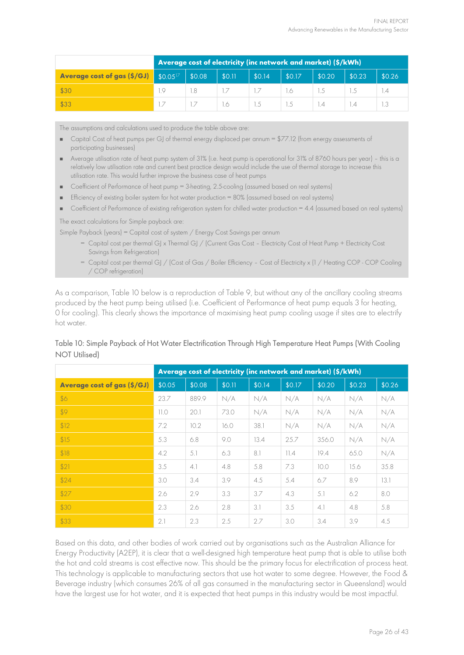|                                                        | Average cost of electricity (inc network and market) (\$/kWh) |        |        |        |        |        |                  |                  |  |
|--------------------------------------------------------|---------------------------------------------------------------|--------|--------|--------|--------|--------|------------------|------------------|--|
| <b>Average cost of gas (\$/GJ)</b> $$0.05^{\text{V}}$$ |                                                               | \$0.08 | \$0.11 | \$0.14 | \$0.17 | \$0.20 | \$0.23           | \$0.26           |  |
| \$30                                                   | 1.9                                                           |        |        |        | I.6.   |        |                  | $\overline{1.4}$ |  |
| \$33                                                   |                                                               |        | -1.6   | 1.5    | 1.5    | 1.4    | $\overline{1.4}$ |                  |  |

The assumptions and calculations used to produce the table above are:

- Capital Cost of heat pumps per GJ of thermal energy displaced per annum = \$77.12 (from energy assessments of participating businesses)
- Average utilisation rate of heat pump system of 31% (i.e. heat pump is operational for 31% of 8760 hours per year) this is a relatively low utilisation rate and current best practice design would include the use of thermal storage to increase this utilisation rate. This would further improve the business case of heat pumps
- Coefficient of Performance of heat pump = 3-heating, 2.5-cooling (assumed based on real systems)
- Efficiency of existing boiler system for hot water production = 80% (assumed based on real systems)
- Coefficient of Performance of existing refrigeration system for chilled water production = 4.4 (assumed based on real systems)

The exact calculations for Simple payback are:

Simple Payback (years) = Capital cost of system / Energy Cost Savings per annum

- = Capital cost per thermal GJ x Thermal GJ / (Current Gas Cost Electricity Cost of Heat Pump + Electricity Cost Savings from Refrigeration)
- = Capital cost per thermal GJ / (Cost of Gas / Boiler Efficiency Cost of Electricity x (1 / Heating COP COP Cooling / COP refrigeration)

As a comparison, [Table 10](#page-25-0) below is a reproduction of [Table 9,](#page-24-2) but without any of the ancillary cooling streams produced by the heat pump being utilised (i.e. Coefficient of Performance of heat pump equals 3 for heating, 0 for cooling). This clearly shows the importance of maximising heat pump cooling usage if sites are to electrify hot water.

#### <span id="page-25-0"></span>Table 10: Simple Payback of Hot Water Electrification Through High Temperature Heat Pumps (With Cooling NOT Utilised)

|                                    |        | Average cost of electricity (inc network and market) (\$/kWh) |        |        |        |        |        |        |  |  |
|------------------------------------|--------|---------------------------------------------------------------|--------|--------|--------|--------|--------|--------|--|--|
| <b>Average cost of gas (\$/GJ)</b> | \$0.05 | \$0.08                                                        | \$0.11 | \$0.14 | \$0.17 | \$0.20 | \$0.23 | \$0.26 |  |  |
| \$6                                | 23.7   | 889.9                                                         | N/A    | N/A    | N/A    | N/A    | N/A    | N/A    |  |  |
| \$9                                | 11.0   | 20.1                                                          | 73.0   | N/A    | N/A    | N/A    | N/A    | N/A    |  |  |
| \$12                               | 7.2    | 10.2                                                          | 16.0   | 38.1   | N/A    | N/A    | N/A    | N/A    |  |  |
| \$15                               | 5.3    | 6.8                                                           | 9.0    | 13.4   | 25.7   | 356.0  | N/A    | N/A    |  |  |
| \$18                               | 4.2    | 5.1                                                           | 6.3    | 8.1    | 11.4   | 19.4   | 65.0   | N/A    |  |  |
| \$21                               | 3.5    | 4.1                                                           | 4.8    | 5.8    | 7.3    | 10.0   | 15.6   | 35.8   |  |  |
| \$24                               | 3.0    | 3.4                                                           | 3.9    | 4.5    | 5.4    | 6.7    | 8.9    | 13.1   |  |  |
| \$27                               | 2.6    | 2.9                                                           | 3.3    | 3.7    | 4.3    | 5.1    | 6.2    | 8.0    |  |  |
| \$30                               | 2.3    | 2.6                                                           | 2.8    | 3.1    | 3.5    | 4.1    | 4.8    | 5.8    |  |  |
| \$33                               | 2.1    | 2.3                                                           | 2.5    | 2.7    | 3.0    | 3.4    | 3.9    | 4.5    |  |  |

Based on this data, and other bodies of work carried out by organisations such as the Australian Alliance for Energy Productivity (A2EP), it is clear that a well-designed high temperature heat pump that is able to utilise both the hot and cold streams is cost effective now. This should be the primary focus for electrification of process heat. This technology is applicable to manufacturing sectors that use hot water to some degree. However, the Food & Beverage industry (which consumes 26% of all gas consumed in the manufacturing sector in Queensland) would have the largest use for hot water, and it is expected that heat pumps in this industry would be most impactful.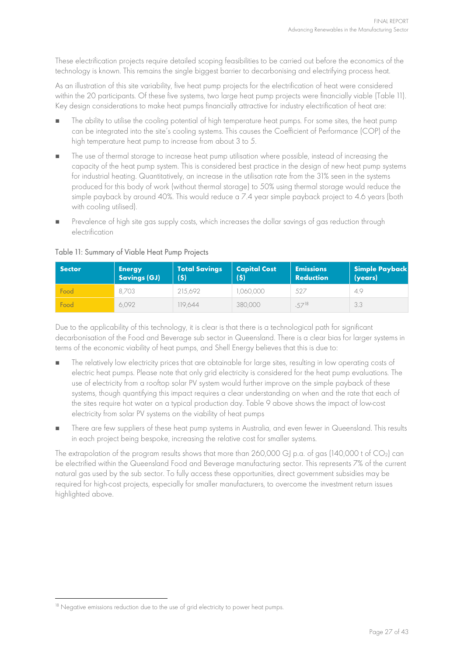These electrification projects require detailed scoping feasibilities to be carried out before the economics of the technology is known. This remains the single biggest barrier to decarbonising and electrifying process heat.

As an illustration of this site variability, five heat pump projects for the electrification of heat were considered within the 20 participants. Of these five systems, two large heat pump projects were financially viable [\(Table 11\)](#page-26-0). Key design considerations to make heat pumps financially attractive for industry electrification of heat are:

- The ability to utilise the cooling potential of high temperature heat pumps. For some sites, the heat pump can be integrated into the site's cooling systems. This causes the Coefficient of Performance (COP) of the high temperature heat pump to increase from about 3 to 5.
- $\blacksquare$  The use of thermal storage to increase heat pump utilisation where possible, instead of increasing the capacity of the heat pump system. This is considered best practice in the design of new heat pump systems for industrial heating. Quantitatively, an increase in the utilisation rate from the 31% seen in the systems produced for this body of work (without thermal storage) to 50% using thermal storage would reduce the simple payback by around 40%. This would reduce a 7.4 year simple payback project to 4.6 years (both with cooling utilised).
- Prevalence of high site gas supply costs, which increases the dollar savings of gas reduction through electrification

| Sector | <b>Energy</b><br><b>Savings (GJ)</b> | <b>Total Savings</b><br>(5) | <b>Capital Cost</b><br>(5) | <b>Emissions</b><br><b>Reduction</b> | <b>Simple Payback</b><br>(years) |
|--------|--------------------------------------|-----------------------------|----------------------------|--------------------------------------|----------------------------------|
| Food   | 8.703                                | 215.692                     | .060.000                   | 527                                  | 4.9                              |
| Food   | 6.092                                | 119.644                     | 380,000                    | $-57^{18}$                           | 3.3                              |

#### <span id="page-26-0"></span>Table 11: Summary of Viable Heat Pump Projects

Due to the applicability of this technology, it is clear is that there is a technological path for significant decarbonisation of the Food and Beverage sub sector in Queensland. There is a clear bias for larger systems in terms of the economic viability of heat pumps, and Shell Energy believes that this is due to:

- The relatively low electricity prices that are obtainable for large sites, resulting in low operating costs of electric heat pumps. Please note that only grid electricity is considered for the heat pump evaluations. The use of electricity from a rooftop solar PV system would further improve on the simple payback of these systems, though quantifying this impact requires a clear understanding on when and the rate that each of the sites require hot water on a typical production day. [Table 9 a](#page-24-2)bove shows the impact of low-cost electricity from solar PV systems on the viability of heat pumps
- There are few suppliers of these heat pump systems in Australia, and even fewer in Queensland. This results in each project being bespoke, increasing the relative cost for smaller systems.

The extrapolation of the program results shows that more than 260,000 GJ p.a. of gas (140,000 t of CO<sub>2</sub>) can be electrified within the Queensland Food and Beverage manufacturing sector. This represents 7% of the current natural gas used by the sub sector. To fully access these opportunities, direct government subsidies may be required for high-cost projects, especially for smaller manufacturers, to overcome the investment return issues highlighted above.

<span id="page-26-1"></span><sup>&</sup>lt;sup>18</sup> Negative emissions reduction due to the use of grid electricity to power heat pumps.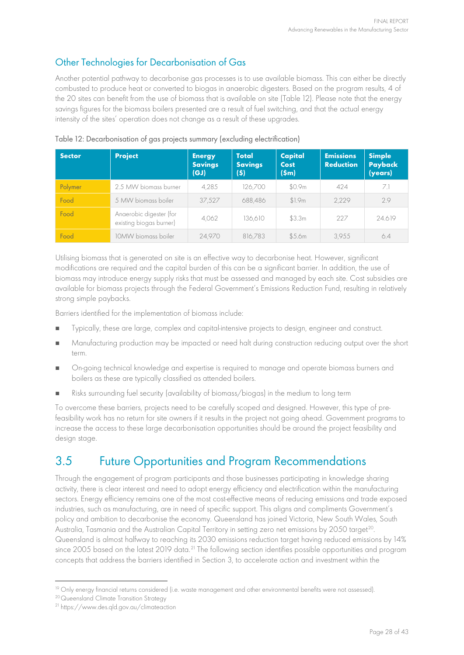### Other Technologies for Decarbonisation of Gas

Another potential pathway to decarbonise gas processes is to use available biomass. This can either be directly combusted to produce heat or converted to biogas in anaerobic digesters. Based on the program results, 4 of the 20 sites can benefit from the use of biomass that is available on site [\(Table](#page-27-0) 12). Please note that the energy savings figures for the biomass boilers presented are a result of fuel switching, and that the actual energy intensity of the sites' operation does not change as a result of these upgrades.

| <b>Sector</b> | <b>Project</b>                                     | <b>Energy</b><br><b>Savings</b><br>(GJ) | Total<br><b>Savings</b><br>(\$) | Capital<br>Cost<br>(Sm) | <b>Emissions</b><br><b>Reduction</b> | <b>Simple</b><br>Payback<br>(years) |
|---------------|----------------------------------------------------|-----------------------------------------|---------------------------------|-------------------------|--------------------------------------|-------------------------------------|
| Polymer       | 2.5 MW biomass burner                              | 4,285                                   | 126,700                         | \$0.9m                  | 424                                  | 7.1                                 |
| Food          | 5 MW biomass boiler                                | 37,527                                  | 688,486                         | \$1.9m                  | 2.229                                | 2.9                                 |
| Food          | Anaerobic digester (for<br>existing biogas burner) | 4,062                                   | 136,610                         | \$3.3m                  | 227                                  | 24.619                              |
| Food          | 10MW biomass boiler                                | 24,970                                  | 816,783                         | \$5.6m                  | 3.955                                | 6.4                                 |

<span id="page-27-0"></span>Table 12: Decarbonisation of gas projects summary (excluding electrification)

Utilising biomass that is generated on site is an effective way to decarbonise heat. However, significant modifications are required and the capital burden of this can be a significant barrier. In addition, the use of biomass may introduce energy supply risks that must be assessed and managed by each site. Cost subsidies are available for biomass projects through the Federal Government's Emissions Reduction Fund, resulting in relatively strong simple paybacks.

Barriers identified for the implementation of biomass include:

- Typically, these are large, complex and capital-intensive projects to design, engineer and construct.
- Manufacturing production may be impacted or need halt during construction reducing output over the short term.
- **n** On-going technical knowledge and expertise is required to manage and operate biomass burners and boilers as these are typically classified as attended boilers.
- Risks surrounding fuel security (availability of biomass/biogas) in the medium to long term

To overcome these barriers, projects need to be carefully scoped and designed. However, this type of prefeasibility work has no return for site owners if it results in the project not going ahead. Government programs to increase the access to these large decarbonisation opportunities should be around the project feasibility and design stage.

### <span id="page-27-4"></span>3.5 Future Opportunities and Program Recommendations

Through the engagement of program participants and those businesses participating in knowledge sharing activity, there is clear interest and need to adopt energy efficiency and electrification within the manufacturing sectors. Energy efficiency remains one of the most cost-effective means of reducing emissions and trade exposed industries, such as manufacturing, are in need of specific support. This aligns and compliments Government's policy and ambition to decarbonise the economy. Queensland has joined Victoria, New South Wales, South Australia, Tasmania and the Australian Capital Territory in setting zero net emissions by [20](#page-27-2)50 target<sup>20</sup>. Queensland is almost halfway to reaching its 2030 emissions reduction target having reduced emissions by 14% since 2005 based on the latest 2019 data.<sup>[21](#page-27-3)</sup> The following section identifies possible opportunities and program concepts that address the barriers identified in Section [3,](#page-15-2) to accelerate action and investment within the

<span id="page-27-1"></span><sup>&</sup>lt;sup>19</sup> Only energy financial returns considered (i.e. waste management and other environmental benefits were not assessed).

<span id="page-27-2"></span><sup>20</sup>Queensland Climate Transition Strategy

<span id="page-27-3"></span><sup>21</sup> <https://www.des.qld.gov.au/climateaction>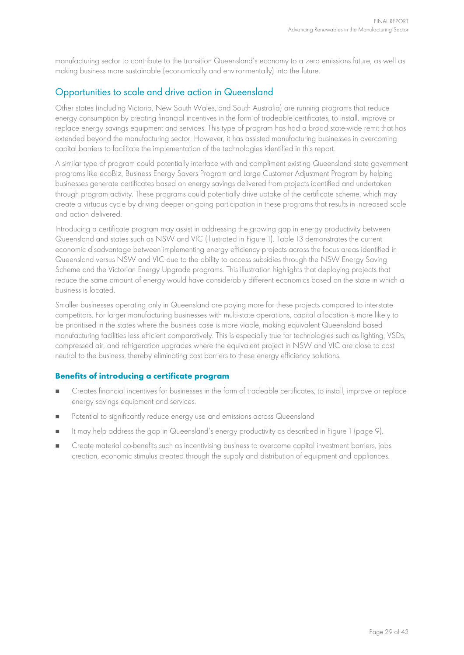manufacturing sector to contribute to the transition Queensland's economy to a zero emissions future, as well as making business more sustainable (economically and environmentally) into the future.

#### Opportunities to scale and drive action in Queensland

Other states (including Victoria, New South Wales, and South Australia) are running programs that reduce energy consumption by creating financial incentives in the form of tradeable certificates, to install, improve or replace energy savings equipment and services. This type of program has had a broad state-wide remit that has extended beyond the manufacturing sector. However, it has assisted manufacturing businesses in overcoming capital barriers to facilitate the implementation of the technologies identified in this report.

A similar type of program could potentially interface with and compliment existing Queensland state government programs like ecoBiz, Business Energy Savers Program and Large Customer Adjustment Program by helping businesses generate certificates based on energy savings delivered from projects identified and undertaken through program activity. These programs could potentially drive uptake of the certificate scheme, which may create a virtuous cycle by driving deeper on-going participation in these programs that results in increased scale and action delivered.

Introducing a certificate program may assist in addressing the growing gap in energy productivity between Queensland and states such as NSW and VIC (illustrated in [Figure 1\)](#page-8-0). [Table 13](#page-29-0) demonstrates the current economic disadvantage between implementing energy efficiency projects across the focus areas identified in Queensland versus NSW and VIC due to the ability to access subsidies through the NSW Energy Saving Scheme and the Victorian Energy Upgrade programs. This illustration highlights that deploying projects that reduce the same amount of energy would have considerably different economics based on the state in which a business is located.

Smaller businesses operating only in Queensland are paying more for these projects compared to interstate competitors. For larger manufacturing businesses with multi-state operations, capital allocation is more likely to be prioritised in the states where the business case is more viable, making equivalent Queensland based manufacturing facilities less efficient comparatively. This is especially true for technologies such as lighting, VSDs, compressed air, and refrigeration upgrades where the equivalent project in NSW and VIC are close to cost neutral to the business, thereby eliminating cost barriers to these energy efficiency solutions.

#### **Benefits of introducing a certificate program**

- Creates financial incentives for businesses in the form of tradeable certificates, to install, improve or replace energy savings equipment and services.
- **Potential to significantly reduce energy use and emissions across Queensland**
- It may help address the gap in Queensland's energy productivity as described in [Figure 1](#page-8-0) (page [9\)](#page-8-0).
- Create material co-benefits such as incentivising business to overcome capital investment barriers, jobs creation, economic stimulus created through the supply and distribution of equipment and appliances.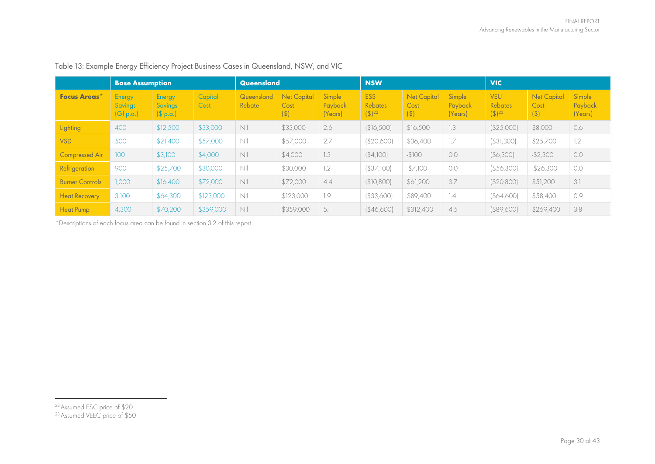|                        | <b>Base Assumption</b>                 |                                             |                 | Queensland           |                                       |                              | <b>NSW</b>                                            |                                       |                              | <b>VIC</b>                                     |                                   |                              |
|------------------------|----------------------------------------|---------------------------------------------|-----------------|----------------------|---------------------------------------|------------------------------|-------------------------------------------------------|---------------------------------------|------------------------------|------------------------------------------------|-----------------------------------|------------------------------|
| <b>Focus Areas</b> *   | Energy<br><b>Savings</b><br>$[G]$ p.a. | <b>Energy</b><br><b>Savings</b><br>(S p. a) | Capital<br>Cost | Queensland<br>Rebate | <b>Net Capital</b><br>Cost<br>$($ \$) | Simple<br>Payback<br>(Years) | <b>ESS</b><br><b>Rebates</b><br>$($ \$) <sup>22</sup> | <b>Net Capital</b><br>Cost<br>$($ \$) | Simple<br>Payback<br>(Years) | <b>VEU</b><br>Rebates<br>$($ \$) <sup>23</sup> | <b>Net Capital</b><br>Cost<br>(3) | Simple<br>Payback<br>(Years) |
| Lighting               | 400                                    | \$12,500                                    | \$33,000        | Nil                  | \$33,000                              | 2.6                          | \$16,500                                              | \$16,500                              | 1.3                          | (\$25,000)                                     | \$8,000                           | 0.6                          |
| <b>VSD</b>             | 500                                    | \$21,400                                    | \$57,000        | Nil                  | \$57,000                              | 2.7                          | \$20,600                                              | \$36,400                              | 1.7                          | $($ \$31,300)                                  | \$25,700                          | 1.2                          |
| <b>Compressed Air</b>  | 100                                    | \$3,100                                     | \$4,000         | Nil                  | \$4,000                               | 1.3                          | ( \$4,100]                                            | $-$100$                               | 0.0                          | $($ \$6,300)                                   | $-$2,300$                         | 0.0                          |
| Refrigeration          | 900                                    | \$25,700                                    | \$30,000        | Nil                  | \$30,000                              | 1.2                          | (\$37,100)                                            | $-$7,100$                             | O.O                          | $($ \$56,300)                                  | $-$26,300$                        | 0.0                          |
| <b>Burner Controls</b> | 1,000                                  | \$16,400                                    | \$72,000        | Nil                  | \$72,000                              | 4.4                          | \$10,800                                              | \$61,200                              | 3.7                          | \$20,800]                                      | \$51,200                          | 3.1                          |
| <b>Heat Recovery</b>   | 3,100                                  | \$64,300                                    | \$123,000       | Nil                  | \$123,000                             | 1.9                          | ( \$33,600]                                           | \$89,400                              | 1.4                          | $($ \$64,600)                                  | \$58,400                          | 0.9                          |
| <b>Heat Pump</b>       | 4,300                                  | \$70,200                                    | \$359,000       | Nil                  | \$359,000                             | 5.1                          | (\$46,600]                                            | \$312,400                             | 4.5                          | $($ \$89,600)                                  | \$269,400                         | 3.8                          |

#### <span id="page-29-2"></span><span id="page-29-1"></span>Table 13: Example Energy Efficiency Project Business Cases in Queensland, NSW, and VIC

<span id="page-29-0"></span>\*Descriptions of each focus area can be found in section [3.2](#page-18-3) of this report.

<sup>22</sup>Assumed ESC price of \$20

<sup>&</sup>lt;sup>23</sup> Assumed VEEC price of \$50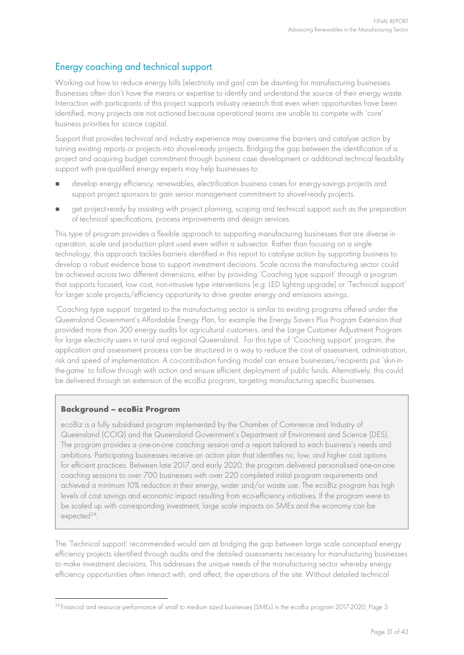#### Energy coaching and technical support

Working out how to reduce energy bills (electricity and gas) can be daunting for manufacturing businesses. Businesses often don't have the means or expertise to identify and understand the source of their energy waste. Interaction with participants of this project supports industry research that even when opportunities have been identified, many projects are not actioned because operational teams are unable to compete with 'core' business priorities for scarce capital.

Support that provides technical and industry experience may overcome the barriers and catalyse action by turning existing reports or projects into shovel-ready projects. Bridging the gap between the identification of a project and acquiring budget commitment through business case development or additional technical feasibility support with pre-qualified energy experts may help businesses to:

- develop energy efficiency, renewables, electrification business cases for energy-savings projects and support project sponsors to gain senior management commitment to shovel-ready projects.
- get project-ready by assisting with project planning, scoping and technical support such as the preparation of technical specifications, process improvements and design services.

This type of program provides a flexible approach to supporting manufacturing businesses that are diverse in operation, scale and production plant used even within a sub-sector. Rather than focusing on a single technology, this approach tackles barriers identified in this report to catalyse action by supporting business to develop a robust evidence base to support investment decisions. Scale across the manufacturing sector could be achieved across two different dimensions, either by providing 'Coaching type support' through a program that supports focused, low cost, non-intrusive type interventions (e.g. LED lighting upgrade) or 'Technical support' for larger scale projects/efficiency opportunity to drive greater energy and emissions savings.

'Coaching type support' targeted to the manufacturing sector is similar to existing programs offered under the Queensland Government's Affordable Energy Plan, for example the Energy Savers Plus Program Extension that provided more than 300 energy audits for agricultural customers. and the Large Customer Adjustment Program for large electricity users in rural and regional Queensland. For this type of 'Coaching support' program, the application and assessment process can be structured in a way to reduce the cost of assessment, administration, risk and speed of implementation. A co-contribution funding model can ensure businesses/recipients put 'skin-inthe-game' to follow through with action and ensure efficient deployment of public funds. Alternatively, this could be delivered through an extension of the ecoBiz program, targeting manufacturing specific businesses.

#### **Background – ecoBiz Program**

ecoBiz is a fully subsidised program implemented by the Chamber of Commerce and Industry of Queensland (CCIQ) and the Queensland Government's Department of Environment and Science (DES). The program provides a one-on-one coaching session and a report tailored to each business's needs and ambitions. Participating businesses receive an action plan that identifies no, low, and higher cost options for efficient practices. Between late 2017 and early 2020, the program delivered personalised one-on-one coaching sessions to over 700 businesses with over 220 completed initial program requirements and achieved a minimum 10% reduction in their energy, water and/or waste use. The ecoBiz program has high levels of cost savings and economic impact resulting from eco-efficiency initiatives. If the program were to be scaled up with corresponding investment, large scale impacts on SMEs and the economy can be expected<sup>[24](#page-30-0)</sup>.

The 'Technical support' recommended would aim at bridging the gap between large scale conceptual energy efficiency projects identified through audits and the detailed assessments necessary for manufacturing businesses to make investment decisions. This addresses the unique needs of the manufacturing sector whereby energy efficiency opportunities often interact with, and affect, the operations of the site. Without detailed technical

<span id="page-30-0"></span><sup>&</sup>lt;sup>24</sup> Financial and resource performance of small to medium sized businesses (SMEs) in the ecoBiz program 2017-2020, Page 5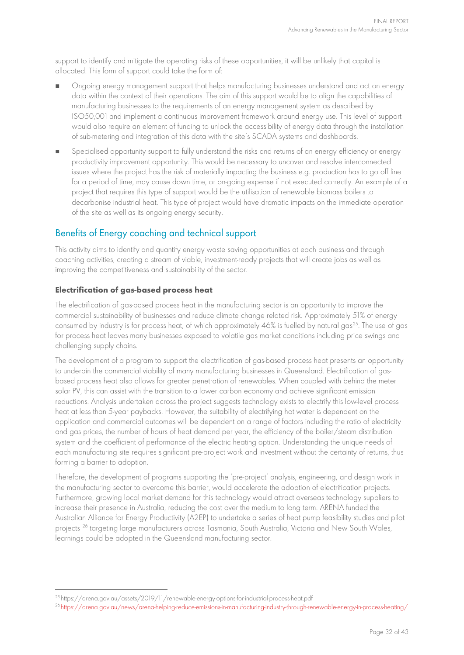support to identify and mitigate the operating risks of these opportunities, it will be unlikely that capital is allocated. This form of support could take the form of:

- Ongoing energy management support that helps manufacturing businesses understand and act on energy data within the context of their operations. The aim of this support would be to align the capabilities of manufacturing businesses to the requirements of an energy management system as described by ISO50,001 and implement a continuous improvement framework around energy use. This level of support would also require an element of funding to unlock the accessibility of energy data through the installation of sub-metering and integration of this data with the site's SCADA systems and dashboards.
- Specialised opportunity support to fully understand the risks and returns of an energy efficiency or energy productivity improvement opportunity. This would be necessary to uncover and resolve interconnected issues where the project has the risk of materially impacting the business e.g. production has to go off line for a period of time, may cause down time, or on-going expense if not executed correctly. An example of a project that requires this type of support would be the utilisation of renewable biomass boilers to decarbonise industrial heat. This type of project would have dramatic impacts on the immediate operation of the site as well as its ongoing energy security.

#### Benefits of Energy coaching and technical support

This activity aims to identify and quantify energy waste saving opportunities at each business and through coaching activities, creating a stream of viable, investment-ready projects that will create jobs as well as improving the competitiveness and sustainability of the sector.

#### **Electrification of gas-based process heat**

The electrification of gas-based process heat in the manufacturing sector is an opportunity to improve the commercial sustainability of businesses and reduce climate change related risk. Approximately 51% of energy consumed by industry is for process heat, of which approximately 46% is fuelled by natural gas<sup>[25](#page-31-0)</sup>. The use of gas for process heat leaves many businesses exposed to volatile gas market conditions including price swings and challenging supply chains.

The development of a program to support the electrification of gas-based process heat presents an opportunity to underpin the commercial viability of many manufacturing businesses in Queensland. Electrification of gasbased process heat also allows for greater penetration of renewables. When coupled with behind the meter solar PV, this can assist with the transition to a lower carbon economy and achieve significant emission reductions. Analysis undertaken across the project suggests technology exists to electrify this low-level process heat at less than 5-year paybacks. However, the suitability of electrifying hot water is dependent on the application and commercial outcomes will be dependent on a range of factors including the ratio of electricity and gas prices, the number of hours of heat demand per year, the efficiency of the boiler/steam distribution system and the coefficient of performance of the electric heating option. Understanding the unique needs of each manufacturing site requires significant pre-project work and investment without the certainty of returns, thus forming a barrier to adoption.

Therefore, the development of programs supporting the 'pre-project' analysis, engineering, and design work in the manufacturing sector to overcome this barrier, would accelerate the adoption of electrification projects. Furthermore, growing local market demand for this technology would attract overseas technology suppliers to increase their presence in Australia, reducing the cost over the medium to long term. ARENA funded the Australian Alliance for Energy Productivity (A2EP) to undertake a series of heat pump feasibility studies and pilot projects [26](#page-31-1) targeting large manufacturers across Tasmania, South Australia, Victoria and New South Wales, learnings could be adopted in the Queensland manufacturing sector.

<span id="page-31-0"></span><sup>25</sup><https://arena.gov.au/assets/2019/11/renewable-energy-options-for-industrial-process-heat.pdf>

<span id="page-31-1"></span><sup>26</sup> <https://arena.gov.au/news/arena-helping-reduce-emissions-in-manufacturing-industry-through-renewable-energy-in-process-heating/>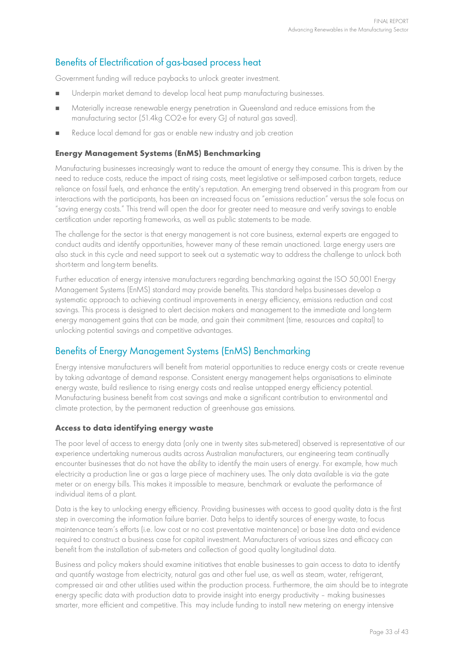#### Benefits of Electrification of gas-based process heat

Government funding will reduce paybacks to unlock greater investment.

- Underpin market demand to develop local heat pump manufacturing businesses.
- Materially increase renewable energy penetration in Queensland and reduce emissions from the manufacturing sector (51.4kg CO2-e for every GJ of natural gas saved).
- Reduce local demand for gas or enable new industry and job creation

#### **Energy Management Systems (EnMS) Benchmarking**

Manufacturing businesses increasingly want to reduce the amount of energy they consume. This is driven by the need to reduce costs, reduce the impact of rising costs, meet legislative or self-imposed carbon targets, reduce reliance on fossil fuels, and enhance the entity's reputation. An emerging trend observed in this program from our interactions with the participants, has been an increased focus on "emissions reduction" versus the sole focus on "saving energy costs." This trend will open the door for greater need to measure and verify savings to enable certification under reporting frameworks, as well as public statements to be made.

The challenge for the sector is that energy management is not core business, external experts are engaged to conduct audits and identify opportunities, however many of these remain unactioned. Large energy users are also stuck in this cycle and need support to seek out a systematic way to address the challenge to unlock both short-term and long-term benefits.

Further education of energy intensive manufacturers regarding benchmarking against the ISO 50,001 Energy Management Systems (EnMS) standard may provide benefits. This standard helps businesses develop a systematic approach to achieving continual improvements in energy efficiency, emissions reduction and cost savings. This process is designed to alert decision makers and management to the immediate and long-term energy management gains that can be made, and gain their commitment (time, resources and capital) to unlocking potential savings and competitive advantages.

#### Benefits of Energy Management Systems (EnMS) Benchmarking

Energy intensive manufacturers will benefit from material opportunities to reduce energy costs or create revenue by taking advantage of demand response. Consistent energy management helps organisations to eliminate energy waste, build resilience to rising energy costs and realise untapped energy efficiency potential. Manufacturing business benefit from cost savings and make a significant contribution to environmental and climate protection, by the permanent reduction of greenhouse gas emissions.

#### **Access to data identifying energy waste**

The poor level of access to energy data (only one in twenty sites sub-metered) observed is representative of our experience undertaking numerous audits across Australian manufacturers, our engineering team continually encounter businesses that do not have the ability to identify the main users of energy. For example, how much electricity a production line or gas a large piece of machinery uses. The only data available is via the gate meter or on energy bills. This makes it impossible to measure, benchmark or evaluate the performance of individual items of a plant.

Data is the key to unlocking energy efficiency. Providing businesses with access to good quality data is the first step in overcoming the information failure barrier. Data helps to identify sources of energy waste, to focus maintenance team's efforts (i.e. low cost or no cost preventative maintenance) or base line data and evidence required to construct a business case for capital investment. Manufacturers of various sizes and efficacy can benefit from the installation of sub-meters and collection of good quality longitudinal data.

Business and policy makers should examine initiatives that enable businesses to gain access to data to identify and quantify wastage from electricity, natural gas and other fuel use, as well as steam, water, refrigerant, compressed air and other utilities used within the production process. Furthermore, the aim should be to integrate energy specific data with production data to provide insight into energy productivity – making businesses smarter, more efficient and competitive. This may include funding to install new metering on energy intensive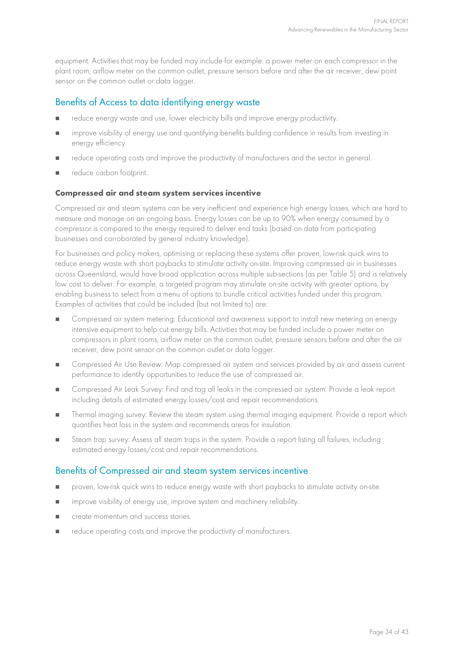equipment. Activities that may be funded may include for example: a power meter on each compressor in the plant room, airflow meter on the common outlet, pressure sensors before and after the air receiver, dew point sensor on the common outlet or data logger.

#### Benefits of Access to data identifying energy waste

- reduce energy waste and use, lower electricity bills and improve energy productivity.
- improve visibility of energy use and quantifying benefits building confidence in results from investing in energy efficiency.
- reduce operating costs and improve the productivity of manufacturers and the sector in general.
- reduce carbon footprint.

#### **Compressed air and steam system services incentive**

Compressed air and steam systems can be very inefficient and experience high energy losses, which are hard to measure and manage on an ongoing basis. Energy losses can be up to 90% when energy consumed by a compressor is compared to the energy required to deliver end tasks (based on data from participating businesses and corroborated by general industry knowledge).

For businesses and policy makers, optimising or replacing these systems offer proven, low-risk quick wins to reduce energy waste with short paybacks to stimulate activity on-site. Improving compressed air in businesses across Queensland, would have broad application across multiple sub-sections (as per [Table 5\)](#page-20-0) and is relatively low cost to deliver. For example, a targeted program may stimulate on-site activity with greater options, by enabling business to select from a menu of options to bundle critical activities funded under this program. Examples of activities that could be included (but not limited to) are:

- Compressed air system metering: Educational and awareness support to install new metering on energy intensive equipment to help cut energy bills. Activities that may be funded include a power meter on compressors in plant rooms, airflow meter on the common outlet, pressure sensors before and after the air receiver, dew point sensor on the common outlet or data logger.
- **Compressed Air Use Review: Map compressed air system and services provided by air and assess current** performance to identify opportunities to reduce the use of compressed air.
- **EXECOM** Compressed Air Leak Survey: Find and tag all leaks in the compressed air system. Provide a leak report including details of estimated energy losses/cost and repair recommendations.
- **Thermal imaging survey: Review the steam system using thermal imaging equipment. Provide a report which** quantifies heat loss in the system and recommends areas for insulation.
- Steam trap survey: Assess all steam traps in the system. Provide a report listing all failures, including estimated energy losses/cost and repair recommendations.

#### Benefits of Compressed air and steam system services incentive

- proven, low-risk quick wins to reduce energy waste with short paybacks to stimulate activity on-site.
- **I** improve visibility of energy use, improve system and machinery reliability.
- create momentum and success stories.
- reduce operating costs and improve the productivity of manufacturers.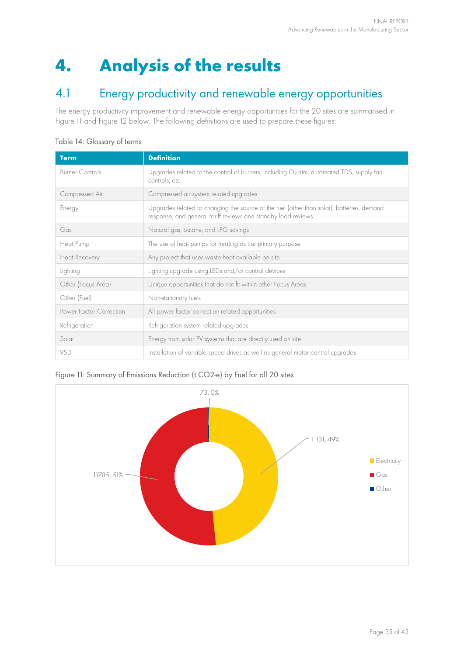## **4. Analysis of the results**

### 4.1 Energy productivity and renewable energy opportunities

The energy productivity improvement and renewable energy opportunities for the 20 sites are summarised in [Figure](#page-34-0) 11 and [Figure](#page-35-0) 12 below. The following definitions are used to prepare these figures:

| Table 14: Glossary of terms |  |
|-----------------------------|--|
|-----------------------------|--|

| <b>Term</b>             | <b>Definition</b>                                                                                                                                           |
|-------------------------|-------------------------------------------------------------------------------------------------------------------------------------------------------------|
| <b>Burner Controls</b>  | Upgrades related to the control of burners, including O2 trim, automated TDS, supply fan<br>controls, etc.                                                  |
| Compressed Air          | Compressed air system related upgrades                                                                                                                      |
| Energy                  | Upgrades related to changing the source of the fuel (other than solar), batteries, demand<br>response, and general tariff reviews and standby load reviews. |
| Gas                     | Natural gas, butane, and LPG savings                                                                                                                        |
| Heat Pump               | The use of heat pumps for heating as the primary purpose                                                                                                    |
| Heat Recovery           | Any project that uses waste heat available on site                                                                                                          |
| Lighting                | Lighting upgrade using LEDs and/or control devices                                                                                                          |
| Other (Focus Area)      | Unique opportunities that do not fit within other Focus Areas                                                                                               |
| Other (Fuel)            | Non-stationary fuels                                                                                                                                        |
| Power Factor Correction | All power factor correction related opportunities                                                                                                           |
| Refrigeration           | Refrigeration system related upgrades                                                                                                                       |
| Solar                   | Energy from solar PV systems that are directly used on site                                                                                                 |
| <b>VSD</b>              | Installation of variable speed drives as well as general motor control upgrades                                                                             |

#### <span id="page-34-0"></span>Figure 11: Summary of Emissions Reduction (t CO2-e) by Fuel for all 20 sites

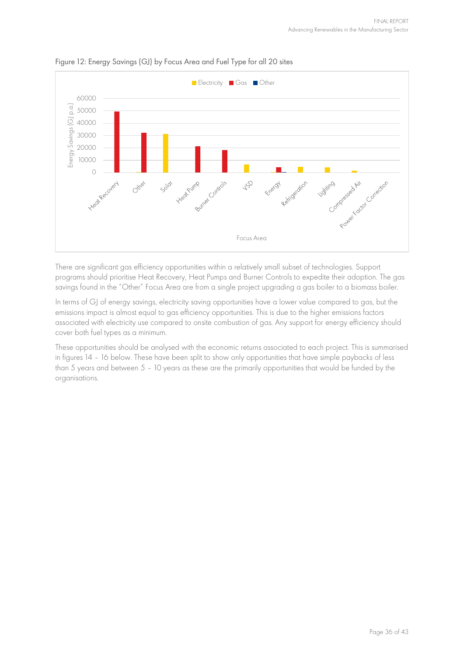

#### <span id="page-35-0"></span>Figure 12: Energy Savings (GJ) by Focus Area and Fuel Type for all 20 sites

There are significant gas efficiency opportunities within a relatively small subset of technologies. Support programs should prioritise Heat Recovery, Heat Pumps and Burner Controls to expedite their adoption. The gas savings found in the "Other" Focus Area are from a single project upgrading a gas boiler to a biomass boiler.

In terms of GJ of energy savings, electricity saving opportunities have a lower value compared to gas, but the emissions impact is almost equal to gas efficiency opportunities. This is due to the higher emissions factors associated with electricity use compared to onsite combustion of gas. Any support for energy efficiency should cover both fuel types as a minimum.

These opportunities should be analysed with the economic returns associated to each project. This is summarised in figures 14 – 16 below. These have been split to show only opportunities that have simple paybacks of less than 5 years and between 5 – 10 years as these are the primarily opportunities that would be funded by the organisations.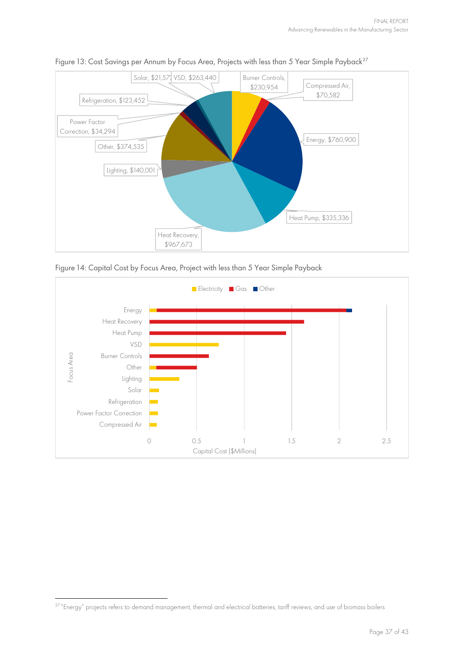

#### Figure 13: Cost Savings per Annum by Focus Area, Projects with less than 5 Year Simple Payback<sup>[27](#page-36-0)</sup>





<span id="page-36-0"></span><sup>&</sup>lt;sup>27</sup> "Energy" projects refers to demand management, thermal and electrical batteries, tariff reviews, and use of biomass boilers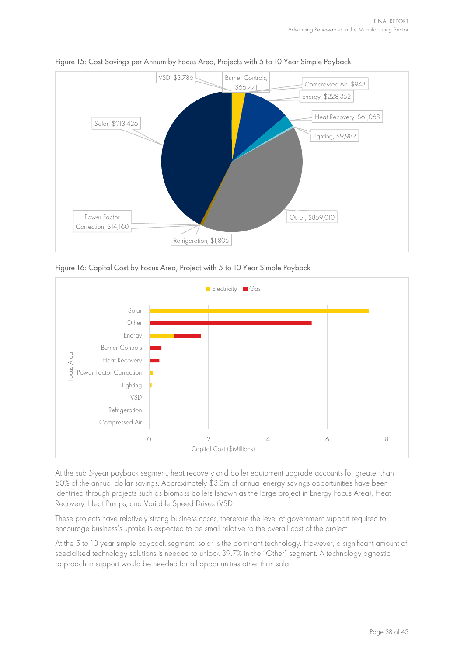

Figure 15: Cost Savings per Annum by Focus Area, Projects with 5 to 10 Year Simple Payback

Figure 16: Capital Cost by Focus Area, Project with 5 to 10 Year Simple Payback



At the sub 5-year payback segment, heat recovery and boiler equipment upgrade accounts for greater than 50% of the annual dollar savings. Approximately \$3.3m of annual energy savings opportunities have been identified through projects such as biomass boilers (shown as the large project in Energy Focus Area), Heat Recovery, Heat Pumps, and Variable Speed Drives (VSD).

These projects have relatively strong business cases, therefore the level of government support required to encourage business's uptake is expected to be small relative to the overall cost of the project.

At the 5 to 10 year simple payback segment, solar is the dominant technology. However, a significant amount of specialised technology solutions is needed to unlock 39.7% in the "Other" segment. A technology agnostic approach in support would be needed for all opportunities other than solar.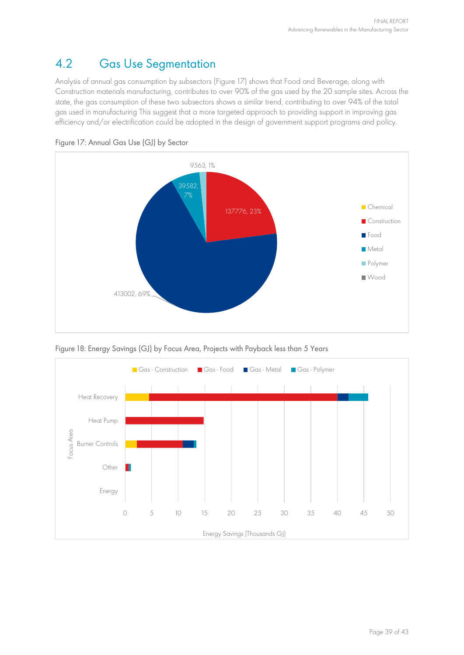## 4.2 Gas Use Segmentation

Analysis of annual gas consumption by subsectors [\(Figure](#page-38-0) 17) shows that Food and Beverage, along with Construction materials manufacturing, contributes to over 90% of the gas used by the 20 sample sites. Across the state, the gas consumption of these two subsectors shows a similar trend, contributing to over 94% of the total gas used in manufacturing This suggest that a more targeted approach to providing support in improving gas efficiency and/or electrification could be adopted in the design of government support programs and policy.

<span id="page-38-0"></span>



<span id="page-38-1"></span>Figure 18: Energy Savings (GJ) by Focus Area, Projects with Payback less than 5 Years

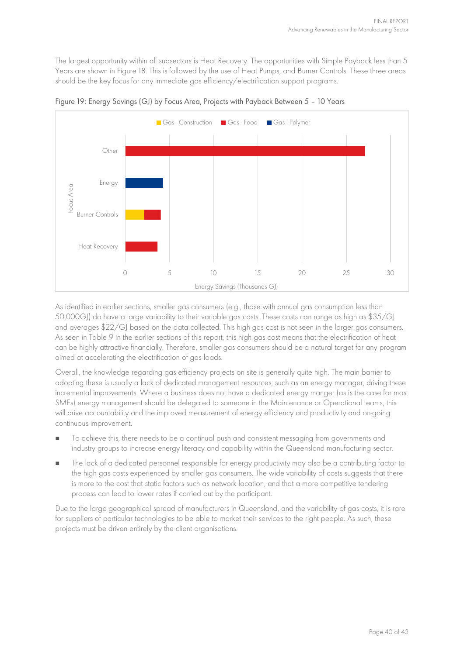The largest opportunity within all subsectors is Heat Recovery. The opportunities with Simple Payback less than 5 Years are shown in [Figure](#page-38-1) 18. This is followed by the use of Heat Pumps, and Burner Controls. These three areas should be the key focus for any immediate gas efficiency/electrification support programs.



Figure 19: Energy Savings (GJ) by Focus Area, Projects with Payback Between 5 – 10 Years

As identified in earlier sections, smaller gas consumers (e.g., those with annual gas consumption less than 50,000GJ) do have a large variability to their variable gas costs. These costs can range as high as \$35/GJ and averages \$22/GJ based on the data collected. This high gas cost is not seen in the larger gas consumers. As seen in [Table 9](#page-24-2) in the earlier sections of this report, this high gas cost means that the electrification of heat can be highly attractive financially. Therefore, smaller gas consumers should be a natural target for any program aimed at accelerating the electrification of gas loads.

Overall, the knowledge regarding gas efficiency projects on site is generally quite high. The main barrier to adopting these is usually a lack of dedicated management resources, such as an energy manager, driving these incremental improvements. Where a business does not have a dedicated energy manger (as is the case for most SMEs) energy management should be delegated to someone in the Maintenance or Operational teams, this will drive accountability and the improved measurement of energy efficiency and productivity and on-going continuous improvement.

- To achieve this, there needs to be a continual push and consistent messaging from governments and industry groups to increase energy literacy and capability within the Queensland manufacturing sector.
- The lack of a dedicated personnel responsible for energy productivity may also be a contributing factor to the high gas costs experienced by smaller gas consumers. The wide variability of costs suggests that there is more to the cost that static factors such as network location, and that a more competitive tendering process can lead to lower rates if carried out by the participant.

Due to the large geographical spread of manufacturers in Queensland, and the variability of gas costs, it is rare for suppliers of particular technologies to be able to market their services to the right people. As such, these projects must be driven entirely by the client organisations.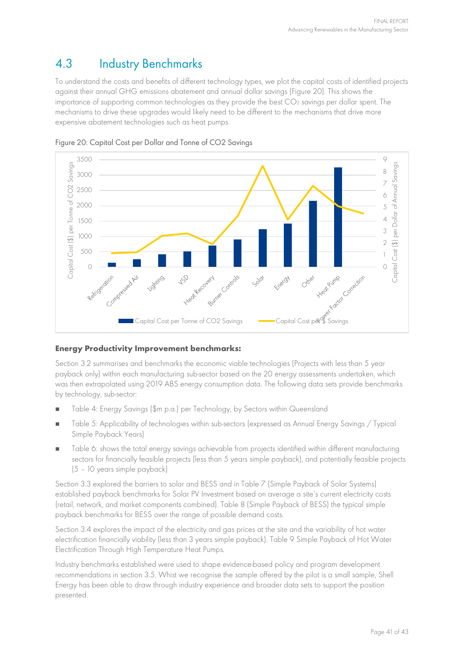## 4.3 Industry Benchmarks

To understand the costs and benefits of different technology types, we plot the capital costs of identified projects against their annual GHG emissions abatement and annual dollar savings [\(Figure](#page-40-0) 20). This shows the importance of supporting common technologies as they provide the best CO<sub>2</sub> savings per dollar spent. The mechanisms to drive these upgrades would likely need to be different to the mechanisms that drive more expensive abatement technologies such as heat pumps.



<span id="page-40-0"></span>Figure 20: Capital Cost per Dollar and Tonne of CO2 Savings

#### **Energy Productivity Improvement benchmarks:**

Section [3.2](#page-18-4) summarises and benchmarks the economic viable technologies (Projects with less than 5 year payback only) within each manufacturing sub-sector based on the 20 energy assessments undertaken, which was then extrapolated using 2019 ABS energy consumption data. The following data sets provide benchmarks by technology, sub-sector:

- [Table 4:](#page-18-5) Energy Savings (\$m p.a.) per Technology, by Sectors within Queensland
- [Table 5:](#page-20-0) Applicability of technologies within sub-sectors (expressed as Annual Energy Savings / Typical Simple Payback Years)
- [Table 6:](#page-21-0) shows the total energy savings achievable from projects identified within different manufacturing sectors for financially feasible projects (less than 5 years simple payback), and potentially feasible projects (5 – 10 years simple payback)

Section [3.3](#page-21-2) explored the barriers to solar and BESS and in [Table 7](#page-22-0) (Simple Payback of Solar Systems) established payback benchmarks for Solar PV Investment based on average a site's current electricity costs (retail, network, and market components combined). [Table 8](#page-23-0) (Simple Payback of BESS) the typical simple payback benchmarks for BESS over the range of possible demand costs.

Section [3.4](#page-23-1) explores the impact of the electricity and gas prices at the site and the variability of hot water electrification financially viability (less than 3 years simple payback). [Table 9](#page-24-2) Simple Payback of Hot Water Electrification Through High Temperature Heat Pumps.

Industry benchmarks established were used to shape evidence-based policy and program development recommendations in section [3.5.](#page-27-4) Whist we recognise the sample offered by the pilot is a small sample, Shell Energy has been able to draw through industry experience and broader data sets to support the position presented.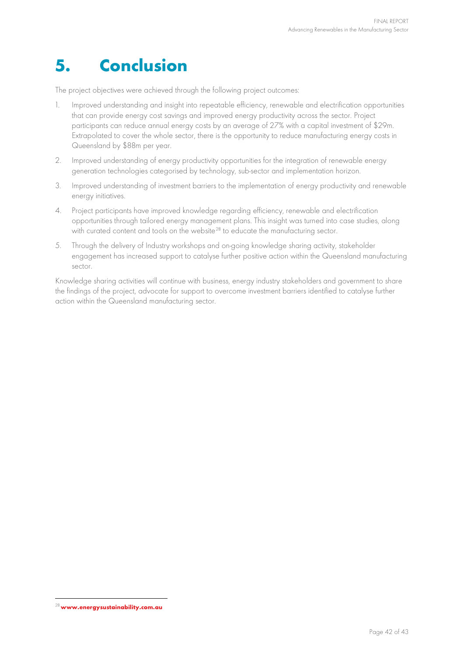## **5. Conclusion**

The project objectives were achieved through the following project outcomes:

- 1. Improved understanding and insight into repeatable efficiency, renewable and electrification opportunities that can provide energy cost savings and improved energy productivity across the sector. Project participants can reduce annual energy costs by an average of 27% with a capital investment of \$29m. Extrapolated to cover the whole sector, there is the opportunity to reduce manufacturing energy costs in Queensland by \$88m per year.
- 2. Improved understanding of energy productivity opportunities for the integration of renewable energy generation technologies categorised by technology, sub-sector and implementation horizon.
- 3. Improved understanding of investment barriers to the implementation of energy productivity and renewable energy initiatives.
- 4. Project participants have improved knowledge regarding efficiency, renewable and electrification opportunities through tailored energy management plans. This insight was turned into case studies, along with curated content and tools on the website<sup>[28](#page-41-0)</sup> to educate the manufacturing sector.
- 5. Through the delivery of Industry workshops and on-going knowledge sharing activity, stakeholder engagement has increased support to catalyse further positive action within the Queensland manufacturing sector.

Knowledge sharing activities will continue with business, energy industry stakeholders and government to share the findings of the project, advocate for support to overcome investment barriers identified to catalyse further action within the Queensland manufacturing sector.

<span id="page-41-0"></span><sup>28</sup>**[www.energysustainability.com.au](http://www.energysustainability.com.au/)**